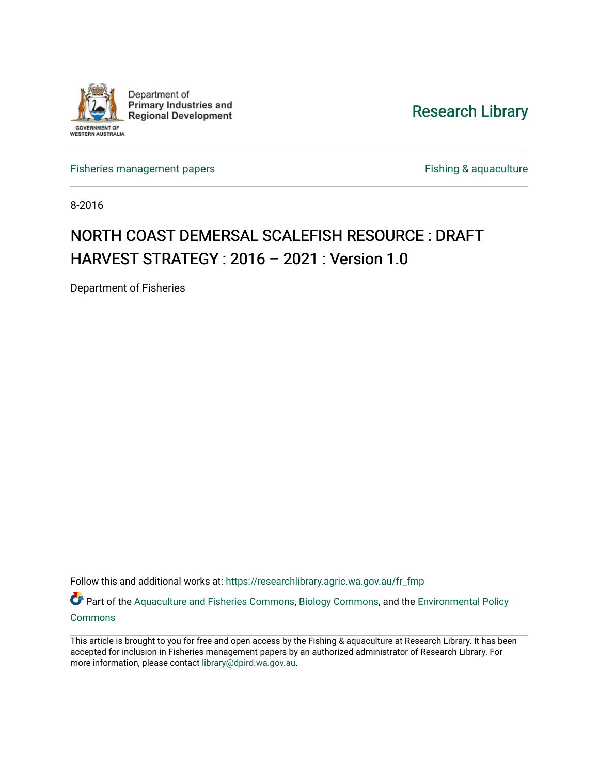

## [Research Library](https://researchlibrary.agric.wa.gov.au/)

[Fisheries management papers](https://researchlibrary.agric.wa.gov.au/fr_fmp) **Fishing & aquaculture** Fishing & aquaculture

8-2016

# NORTH COAST DEMERSAL SCALEFISH RESOURCE : DRAFT HARVEST STRATEGY : 2016 – 2021 : Version 1.0

Department of Fisheries

Follow this and additional works at: [https://researchlibrary.agric.wa.gov.au/fr\\_fmp](https://researchlibrary.agric.wa.gov.au/fr_fmp?utm_source=researchlibrary.agric.wa.gov.au%2Ffr_fmp%2F310&utm_medium=PDF&utm_campaign=PDFCoverPages) 

Part of the [Aquaculture and Fisheries Commons](http://network.bepress.com/hgg/discipline/78?utm_source=researchlibrary.agric.wa.gov.au%2Ffr_fmp%2F310&utm_medium=PDF&utm_campaign=PDFCoverPages), [Biology Commons](http://network.bepress.com/hgg/discipline/41?utm_source=researchlibrary.agric.wa.gov.au%2Ffr_fmp%2F310&utm_medium=PDF&utm_campaign=PDFCoverPages), and the [Environmental Policy](http://network.bepress.com/hgg/discipline/1027?utm_source=researchlibrary.agric.wa.gov.au%2Ffr_fmp%2F310&utm_medium=PDF&utm_campaign=PDFCoverPages) [Commons](http://network.bepress.com/hgg/discipline/1027?utm_source=researchlibrary.agric.wa.gov.au%2Ffr_fmp%2F310&utm_medium=PDF&utm_campaign=PDFCoverPages)

This article is brought to you for free and open access by the Fishing & aquaculture at Research Library. It has been accepted for inclusion in Fisheries management papers by an authorized administrator of Research Library. For more information, please contact [library@dpird.wa.gov.au](mailto:library@dpird.wa.gov.au).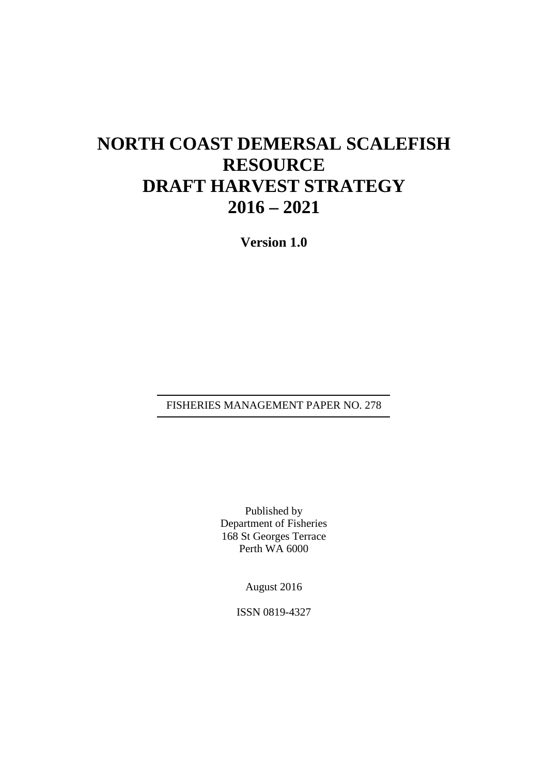# **NORTH COAST DEMERSAL SCALEFISH RESOURCE DRAFT HARVEST STRATEGY 2016 – 2021**

**Version 1.0**

FISHERIES MANAGEMENT PAPER NO. 278

Published by Department of Fisheries 168 St Georges Terrace Perth WA 6000

August 2016

ISSN 0819-4327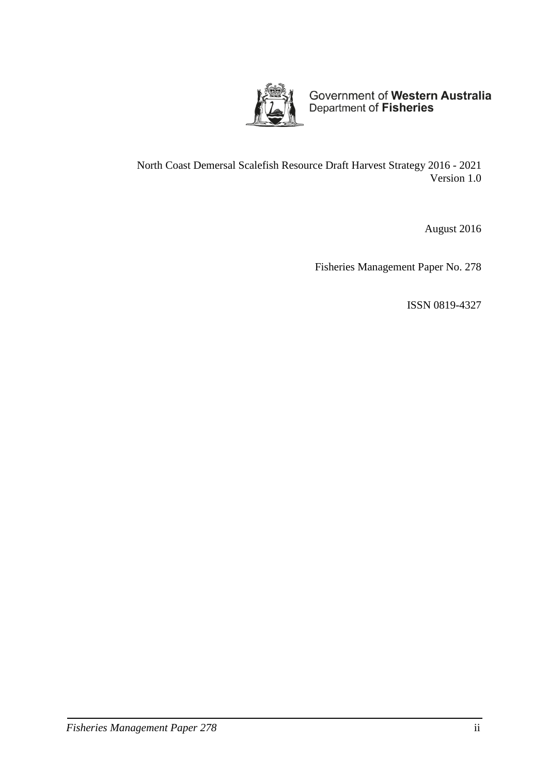

Government of Western Australia<br>Department of Fisheries

North Coast Demersal Scalefish Resource Draft Harvest Strategy 2016 - 2021 Version 1.0

August 2016

Fisheries Management Paper No. 278

ISSN 0819-4327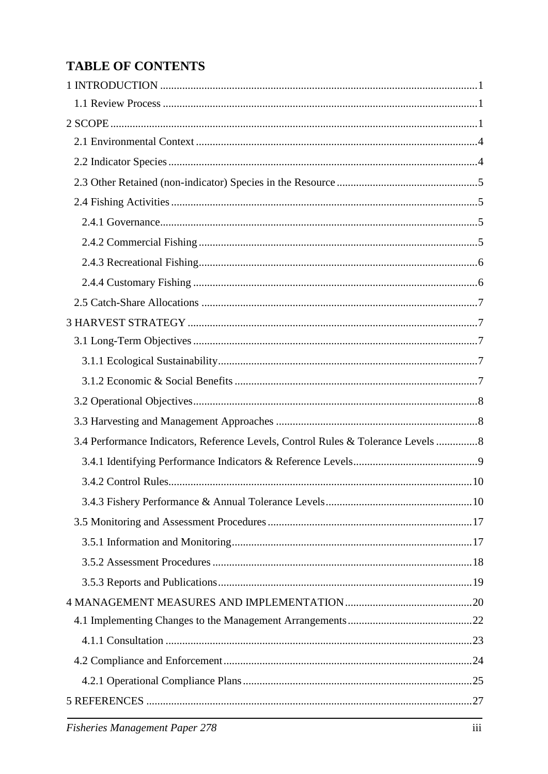## **TABLE OF CONTENTS**

| 3.4 Performance Indicators, Reference Levels, Control Rules & Tolerance Levels  8 |  |
|-----------------------------------------------------------------------------------|--|
|                                                                                   |  |
|                                                                                   |  |
|                                                                                   |  |
|                                                                                   |  |
|                                                                                   |  |
|                                                                                   |  |
|                                                                                   |  |
|                                                                                   |  |
|                                                                                   |  |
|                                                                                   |  |
|                                                                                   |  |
|                                                                                   |  |
|                                                                                   |  |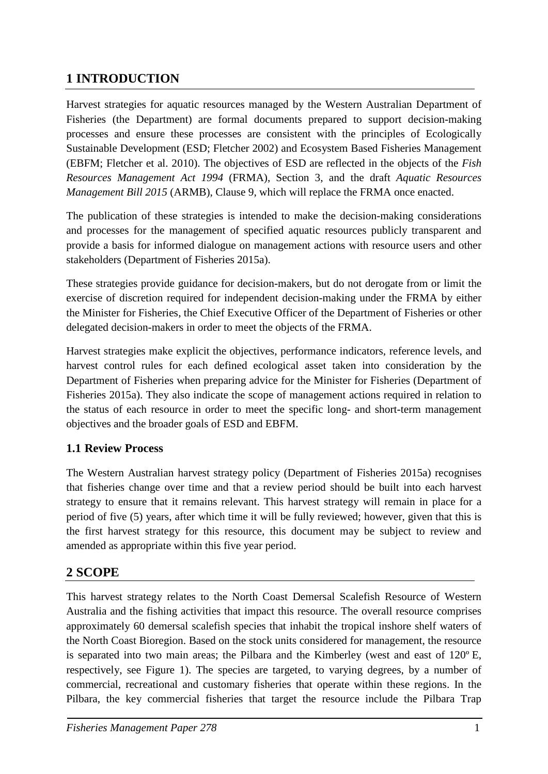## <span id="page-4-0"></span>**1 INTRODUCTION**

Harvest strategies for aquatic resources managed by the Western Australian Department of Fisheries (the Department) are formal documents prepared to support decision-making processes and ensure these processes are consistent with the principles of Ecologically Sustainable Development (ESD; Fletcher 2002) and Ecosystem Based Fisheries Management (EBFM; Fletcher et al. 2010). The objectives of ESD are reflected in the objects of the *Fish Resources Management Act 1994* (FRMA), Section 3, and the draft *Aquatic Resources Management Bill 2015* (ARMB), Clause 9, which will replace the FRMA once enacted.

The publication of these strategies is intended to make the decision-making considerations and processes for the management of specified aquatic resources publicly transparent and provide a basis for informed dialogue on management actions with resource users and other stakeholders (Department of Fisheries 2015a).

These strategies provide guidance for decision-makers, but do not derogate from or limit the exercise of discretion required for independent decision-making under the FRMA by either the Minister for Fisheries, the Chief Executive Officer of the Department of Fisheries or other delegated decision-makers in order to meet the objects of the FRMA.

<span id="page-4-3"></span>Harvest strategies make explicit the objectives, performance indicators, reference levels, and harvest control rules for each defined ecological asset taken into consideration by the Department of Fisheries when preparing advice for the Minister for Fisheries (Department of Fisheries 2015a). They also indicate the scope of management actions required in relation to the status of each resource in order to meet the specific long- and short-term management objectives and the broader goals of ESD and EBFM.

## <span id="page-4-1"></span>**1.1 Review Process**

The Western Australian harvest strategy policy (Department of Fisheries 2015a) recognises that fisheries change over time and that a review period should be built into each harvest strategy to ensure that it remains relevant. This harvest strategy will remain in place for a period of five (5) years, after which time it will be fully reviewed; however, given that this is the first harvest strategy for this resource, this document may be subject to review and amended as appropriate within this five year period.

## <span id="page-4-2"></span>**2 SCOPE**

This harvest strategy relates to the North Coast Demersal Scalefish Resource of Western Australia and the fishing activities that impact this resource. The overall resource comprises approximately 60 demersal scalefish species that inhabit the tropical inshore shelf waters of the North Coast Bioregion. Based on the stock units considered for management, the resource is separated into two main areas; the Pilbara and the Kimberley (west and east of 120º E, respectively, see [Figure 1\)](#page-6-0). The species are targeted, to varying degrees, by a number of commercial, recreational and customary fisheries that operate within these regions. In the Pilbara, the key commercial fisheries that target the resource include the Pilbara Trap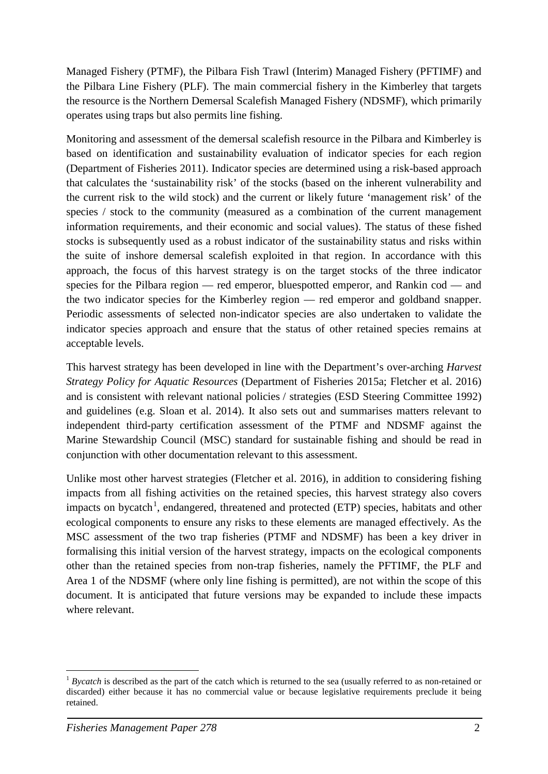Managed Fishery (PTMF), the Pilbara Fish Trawl (Interim) Managed Fishery (PFTIMF) and the Pilbara Line Fishery (PLF). The main commercial fishery in the Kimberley that targets the resource is the Northern Demersal Scalefish Managed Fishery (NDSMF), which primarily operates using traps but also permits line fishing.

Monitoring and assessment of the demersal scalefish resource in the Pilbara and Kimberley is based on identification and sustainability evaluation of indicator species for each region (Department of Fisheries 2011). Indicator species are determined using a risk-based approach that calculates the 'sustainability risk' of the stocks (based on the inherent vulnerability and the current risk to the wild stock) and the current or likely future 'management risk' of the species / stock to the community (measured as a combination of the current management information requirements, and their economic and social values). The status of these fished stocks is subsequently used as a robust indicator of the sustainability status and risks within the suite of inshore demersal scalefish exploited in that region. In accordance with this approach, the focus of this harvest strategy is on the target stocks of the three indicator species for the Pilbara region — red emperor, bluespotted emperor, and Rankin cod — and the two indicator species for the Kimberley region — red emperor and goldband snapper. Periodic assessments of selected non-indicator species are also undertaken to validate the indicator species approach and ensure that the status of other retained species remains at acceptable levels.

This harvest strategy has been developed in line with the Department's over-arching *Harvest Strategy Policy for Aquatic Resources* (Department of Fisheries 2015a; Fletcher et al. 2016) and is consistent with relevant national policies / strategies (ESD Steering Committee 1992) and guidelines (e.g. Sloan et al. 2014). It also sets out and summarises matters relevant to independent third-party certification assessment of the PTMF and NDSMF against the Marine Stewardship Council (MSC) standard for sustainable fishing and should be read in conjunction with other documentation relevant to this assessment.

Unlike most other harvest strategies (Fletcher et al. 2016), in addition to considering fishing impacts from all fishing activities on the retained species, this harvest strategy also covers impacts on bycatch<sup>[1](#page-5-0)</sup>, endangered, threatened and protected (ETP) species, habitats and other ecological components to ensure any risks to these elements are managed effectively. As the MSC assessment of the two trap fisheries (PTMF and NDSMF) has been a key driver in formalising this initial version of the harvest strategy, impacts on the ecological components other than the retained species from non-trap fisheries, namely the PFTIMF, the PLF and Area 1 of the NDSMF (where only line fishing is permitted), are not within the scope of this document. It is anticipated that future versions may be expanded to include these impacts where relevant.

<span id="page-5-0"></span><sup>-</sup><sup>1</sup> *Bycatch* is described as the part of the catch which is returned to the sea (usually referred to as non-retained or discarded) either because it has no commercial value or because legislative requirements preclude it being retained.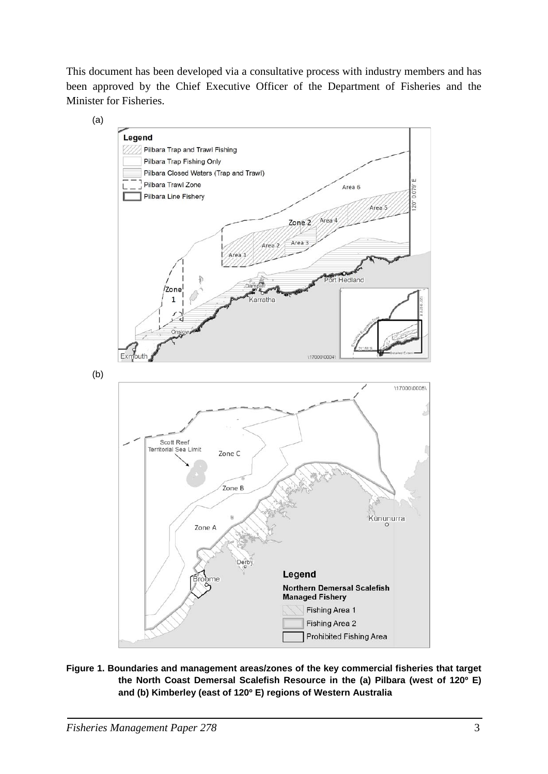This document has been developed via a consultative process with industry members and has been approved by the Chief Executive Officer of the Department of Fisheries and the Minister for Fisheries.



<span id="page-6-0"></span>**Figure 1. Boundaries and management areas/zones of the key commercial fisheries that target the North Coast Demersal Scalefish Resource in the (a) Pilbara (west of 120º E) and (b) Kimberley (east of 120º E) regions of Western Australia**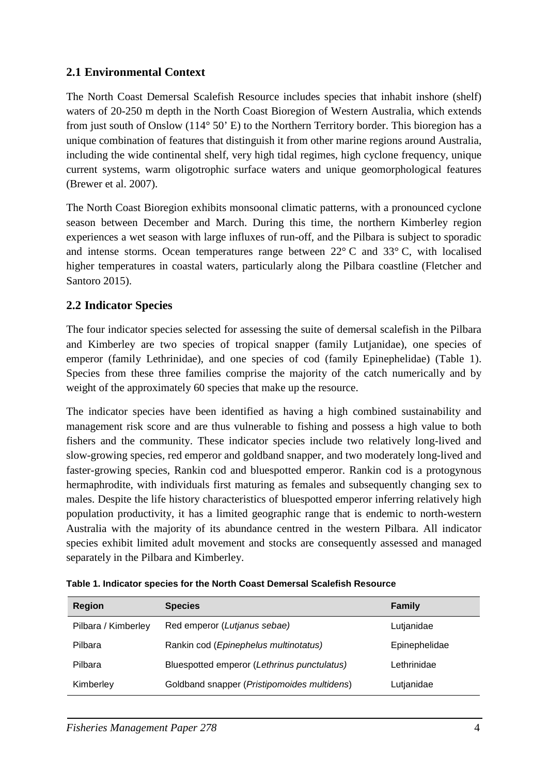## <span id="page-7-0"></span>**2.1 Environmental Context**

The North Coast Demersal Scalefish Resource includes species that inhabit inshore (shelf) waters of 20-250 m depth in the North Coast Bioregion of Western Australia, which extends from just south of Onslow (114° 50' E) to the Northern Territory border. This bioregion has a unique combination of features that distinguish it from other marine regions around Australia, including the wide continental shelf, very high tidal regimes, high cyclone frequency, unique current systems, warm oligotrophic surface waters and unique geomorphological features (Brewer et al. 2007).

The North Coast Bioregion exhibits monsoonal climatic patterns, with a pronounced cyclone season between December and March. During this time, the northern Kimberley region experiences a wet season with large influxes of run-off, and the Pilbara is subject to sporadic and intense storms. Ocean temperatures range between 22° C and 33° C, with localised higher temperatures in coastal waters, particularly along the Pilbara coastline (Fletcher and Santoro 2015).

## <span id="page-7-1"></span>**2.2 Indicator Species**

The four indicator species selected for assessing the suite of demersal scalefish in the Pilbara and Kimberley are two species of tropical snapper (family Lutjanidae), one species of emperor (family Lethrinidae), and one species of cod (family Epinephelidae) [\(Table 1\)](#page-7-2). Species from these three families comprise the majority of the catch numerically and by weight of the approximately 60 species that make up the resource.

The indicator species have been identified as having a high combined sustainability and management risk score and are thus vulnerable to fishing and possess a high value to both fishers and the community. These indicator species include two relatively long-lived and slow-growing species, red emperor and goldband snapper, and two moderately long-lived and faster-growing species, Rankin cod and bluespotted emperor. Rankin cod is a protogynous hermaphrodite, with individuals first maturing as females and subsequently changing sex to males. Despite the life history characteristics of bluespotted emperor inferring relatively high population productivity, it has a limited geographic range that is endemic to north-western Australia with the majority of its abundance centred in the western Pilbara. All indicator species exhibit limited adult movement and stocks are consequently assessed and managed separately in the Pilbara and Kimberley.

| <b>Region</b>       | <b>Species</b>                              | <b>Family</b> |
|---------------------|---------------------------------------------|---------------|
| Pilbara / Kimberley | Red emperor (Lutjanus sebae)                | Lutjanidae    |
| Pilbara             | Rankin cod (Epinephelus multinotatus)       | Epinephelidae |
| Pilbara             | Bluespotted emperor (Lethrinus punctulatus) | Lethrinidae   |
| Kimberley           | Goldband snapper (Pristipomoides multidens) | Lutjanidae    |

<span id="page-7-2"></span>**Table 1. Indicator species for the North Coast Demersal Scalefish Resource**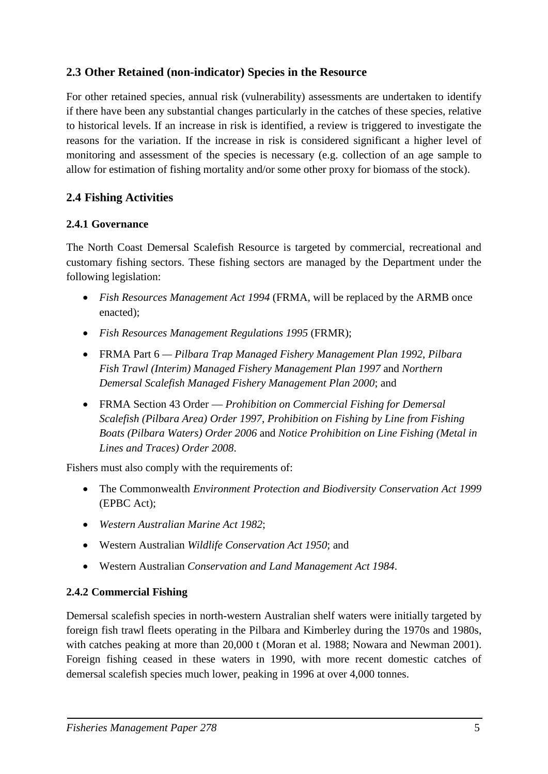## <span id="page-8-0"></span>**2.3 Other Retained (non-indicator) Species in the Resource**

For other retained species, annual risk (vulnerability) assessments are undertaken to identify if there have been any substantial changes particularly in the catches of these species, relative to historical levels. If an increase in risk is identified, a review is triggered to investigate the reasons for the variation. If the increase in risk is considered significant a higher level of monitoring and assessment of the species is necessary (e.g. collection of an age sample to allow for estimation of fishing mortality and/or some other proxy for biomass of the stock).

## <span id="page-8-1"></span>**2.4 Fishing Activities**

#### <span id="page-8-2"></span>**2.4.1 Governance**

The North Coast Demersal Scalefish Resource is targeted by commercial, recreational and customary fishing sectors. These fishing sectors are managed by the Department under the following legislation:

- *Fish Resources Management Act 1994* (FRMA, will be replaced by the ARMB once enacted);
- *Fish Resources Management Regulations 1995* (FRMR);
- FRMA Part 6 *Pilbara Trap Managed Fishery Management Plan 1992*, *Pilbara Fish Trawl (Interim) Managed Fishery Management Plan 1997* and *Northern Demersal Scalefish Managed Fishery Management Plan 2000*; and
- FRMA Section 43 Order *Prohibition on Commercial Fishing for Demersal Scalefish (Pilbara Area) Order 1997*, *Prohibition on Fishing by Line from Fishing Boats (Pilbara Waters) Order 2006* and *Notice Prohibition on Line Fishing (Metal in Lines and Traces) Order 2008*.

Fishers must also comply with the requirements of:

- The Commonwealth *Environment Protection and Biodiversity Conservation Act 1999* (EPBC Act);
- *Western Australian Marine Act 1982*;
- Western Australian *Wildlife Conservation Act 1950*; and
- Western Australian *Conservation and Land Management Act 1984*.

#### <span id="page-8-3"></span>**2.4.2 Commercial Fishing**

Demersal scalefish species in north-western Australian shelf waters were initially targeted by foreign fish trawl fleets operating in the Pilbara and Kimberley during the 1970s and 1980s, with catches peaking at more than 20,000 t (Moran et al. 1988; Nowara and Newman 2001). Foreign fishing ceased in these waters in 1990, with more recent domestic catches of demersal scalefish species much lower, peaking in 1996 at over 4,000 tonnes.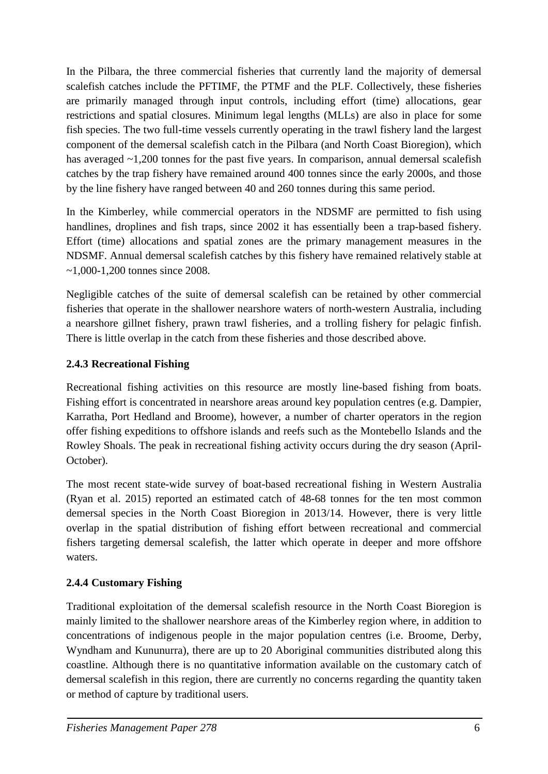In the Pilbara, the three commercial fisheries that currently land the majority of demersal scalefish catches include the PFTIMF, the PTMF and the PLF. Collectively, these fisheries are primarily managed through input controls, including effort (time) allocations, gear restrictions and spatial closures. Minimum legal lengths (MLLs) are also in place for some fish species. The two full-time vessels currently operating in the trawl fishery land the largest component of the demersal scalefish catch in the Pilbara (and North Coast Bioregion), which has averaged ~1,200 tonnes for the past five years. In comparison, annual demersal scalefish catches by the trap fishery have remained around 400 tonnes since the early 2000s, and those by the line fishery have ranged between 40 and 260 tonnes during this same period.

In the Kimberley, while commercial operators in the NDSMF are permitted to fish using handlines, droplines and fish traps, since 2002 it has essentially been a trap-based fishery. Effort (time) allocations and spatial zones are the primary management measures in the NDSMF. Annual demersal scalefish catches by this fishery have remained relatively stable at ~1,000-1,200 tonnes since 2008.

Negligible catches of the suite of demersal scalefish can be retained by other commercial fisheries that operate in the shallower nearshore waters of north-western Australia, including a nearshore gillnet fishery, prawn trawl fisheries, and a trolling fishery for pelagic finfish. There is little overlap in the catch from these fisheries and those described above.

## <span id="page-9-0"></span>**2.4.3 Recreational Fishing**

Recreational fishing activities on this resource are mostly line-based fishing from boats. Fishing effort is concentrated in nearshore areas around key population centres (e.g. Dampier, Karratha, Port Hedland and Broome), however, a number of charter operators in the region offer fishing expeditions to offshore islands and reefs such as the Montebello Islands and the Rowley Shoals. The peak in recreational fishing activity occurs during the dry season (April-October).

The most recent state-wide survey of boat-based recreational fishing in Western Australia (Ryan et al. 2015) reported an estimated catch of 48-68 tonnes for the ten most common demersal species in the North Coast Bioregion in 2013/14. However, there is very little overlap in the spatial distribution of fishing effort between recreational and commercial fishers targeting demersal scalefish, the latter which operate in deeper and more offshore waters.

## <span id="page-9-1"></span>**2.4.4 Customary Fishing**

Traditional exploitation of the demersal scalefish resource in the North Coast Bioregion is mainly limited to the shallower nearshore areas of the Kimberley region where, in addition to concentrations of indigenous people in the major population centres (i.e. Broome, Derby, Wyndham and Kununurra), there are up to 20 Aboriginal communities distributed along this coastline. Although there is no quantitative information available on the customary catch of demersal scalefish in this region, there are currently no concerns regarding the quantity taken or method of capture by traditional users.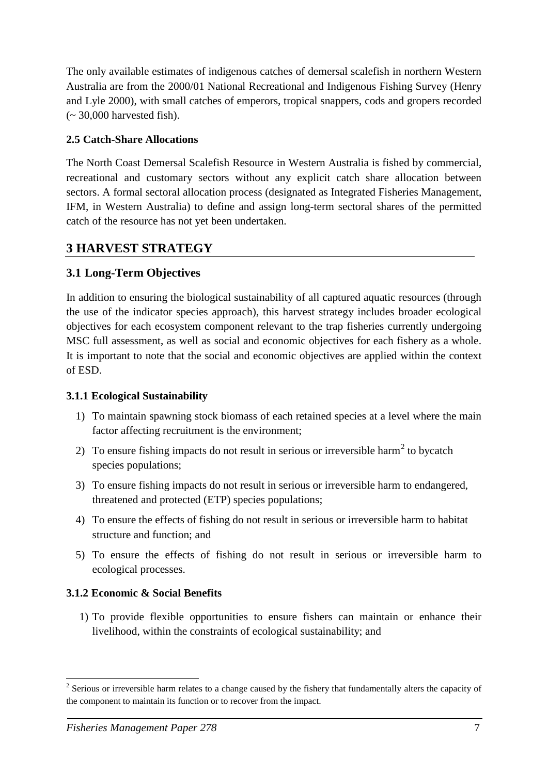The only available estimates of indigenous catches of demersal scalefish in northern Western Australia are from the 2000/01 National Recreational and Indigenous Fishing Survey (Henry and Lyle 2000), with small catches of emperors, tropical snappers, cods and gropers recorded  $\sim$  30,000 harvested fish).

#### <span id="page-10-0"></span>**2.5 Catch-Share Allocations**

The North Coast Demersal Scalefish Resource in Western Australia is fished by commercial, recreational and customary sectors without any explicit catch share allocation between sectors. A formal sectoral allocation process (designated as Integrated Fisheries Management, IFM, in Western Australia) to define and assign long-term sectoral shares of the permitted catch of the resource has not yet been undertaken.

## <span id="page-10-1"></span>**3 HARVEST STRATEGY**

## <span id="page-10-2"></span>**3.1 Long-Term Objectives**

In addition to ensuring the biological sustainability of all captured aquatic resources (through the use of the indicator species approach), this harvest strategy includes broader ecological objectives for each ecosystem component relevant to the trap fisheries currently undergoing MSC full assessment, as well as social and economic objectives for each fishery as a whole. It is important to note that the social and economic objectives are applied within the context of ESD.

#### <span id="page-10-3"></span>**3.1.1 Ecological Sustainability**

- 1) To maintain spawning stock biomass of each retained species at a level where the main factor affecting recruitment is the environment;
- [2](#page-10-5)) To ensure fishing impacts do not result in serious or irreversible harm<sup>2</sup> to bycatch species populations;
- 3) To ensure fishing impacts do not result in serious or irreversible harm to endangered, threatened and protected (ETP) species populations;
- 4) To ensure the effects of fishing do not result in serious or irreversible harm to habitat structure and function; and
- 5) To ensure the effects of fishing do not result in serious or irreversible harm to ecological processes.

## <span id="page-10-4"></span>**3.1.2 Economic & Social Benefits**

1) To provide flexible opportunities to ensure fishers can maintain or enhance their livelihood, within the constraints of ecological sustainability; and

<u>.</u>

<span id="page-10-5"></span><sup>&</sup>lt;sup>2</sup> Serious or irreversible harm relates to a change caused by the fishery that fundamentally alters the capacity of the component to maintain its function or to recover from the impact.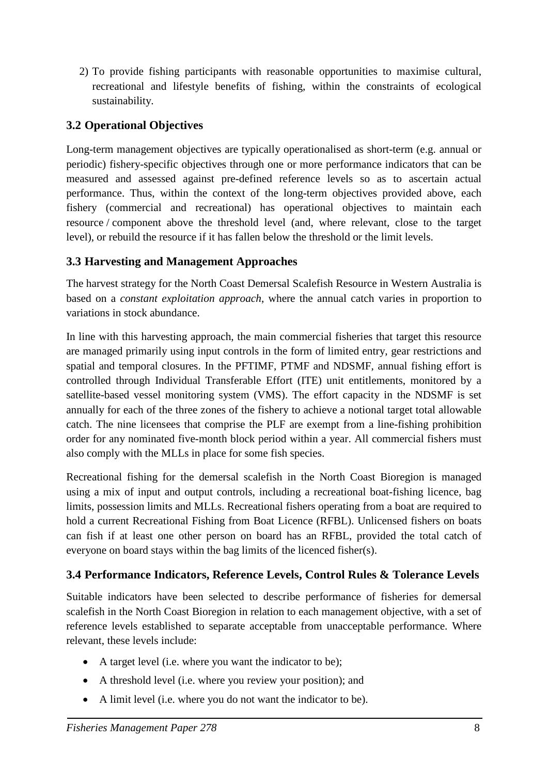2) To provide fishing participants with reasonable opportunities to maximise cultural, recreational and lifestyle benefits of fishing, within the constraints of ecological sustainability.

## <span id="page-11-0"></span>**3.2 Operational Objectives**

Long-term management objectives are typically operationalised as short-term (e.g. annual or periodic) fishery-specific objectives through one or more performance indicators that can be measured and assessed against pre-defined reference levels so as to ascertain actual performance. Thus, within the context of the long-term objectives provided above, each fishery (commercial and recreational) has operational objectives to maintain each resource / component above the threshold level (and, where relevant, close to the target level), or rebuild the resource if it has fallen below the threshold or the limit levels.

## <span id="page-11-1"></span>**3.3 Harvesting and Management Approaches**

The harvest strategy for the North Coast Demersal Scalefish Resource in Western Australia is based on a *constant exploitation approach*, where the annual catch varies in proportion to variations in stock abundance.

In line with this harvesting approach, the main commercial fisheries that target this resource are managed primarily using input controls in the form of limited entry, gear restrictions and spatial and temporal closures. In the PFTIMF, PTMF and NDSMF, annual fishing effort is controlled through Individual Transferable Effort (ITE) unit entitlements, monitored by a satellite-based vessel monitoring system (VMS). The effort capacity in the NDSMF is set annually for each of the three zones of the fishery to achieve a notional target total allowable catch. The nine licensees that comprise the PLF are exempt from a line-fishing prohibition order for any nominated five-month block period within a year. All commercial fishers must also comply with the MLLs in place for some fish species.

Recreational fishing for the demersal scalefish in the North Coast Bioregion is managed using a mix of input and output controls, including a recreational boat-fishing licence, bag limits, possession limits and MLLs. Recreational fishers operating from a boat are required to hold a current Recreational Fishing from Boat Licence (RFBL). Unlicensed fishers on boats can fish if at least one other person on board has an RFBL, provided the total catch of everyone on board stays within the bag limits of the licenced fisher(s).

## <span id="page-11-2"></span>**3.4 Performance Indicators, Reference Levels, Control Rules & Tolerance Levels**

Suitable indicators have been selected to describe performance of fisheries for demersal scalefish in the North Coast Bioregion in relation to each management objective, with a set of reference levels established to separate acceptable from unacceptable performance. Where relevant, these levels include:

- A target level (i.e. where you want the indicator to be);
- A threshold level (i.e. where you review your position); and
- A limit level (i.e. where you do not want the indicator to be).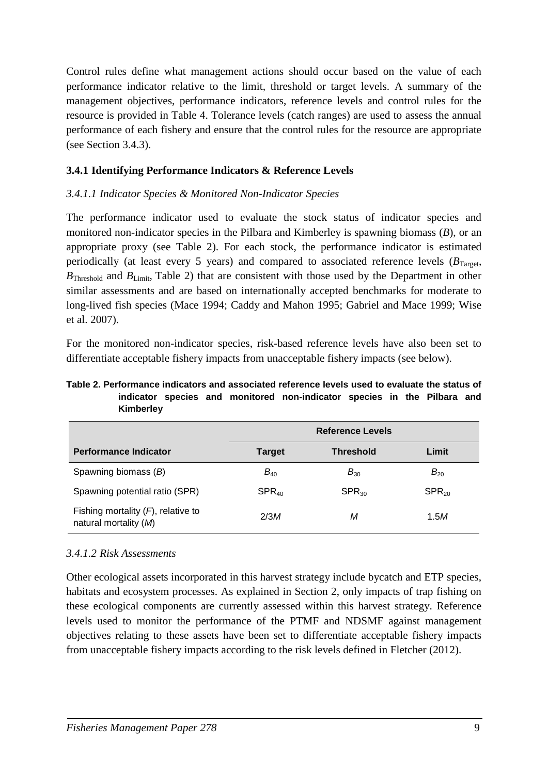Control rules define what management actions should occur based on the value of each performance indicator relative to the limit, threshold or target levels. A summary of the management objectives, performance indicators, reference levels and control rules for the resource is provided in [Table 4.](#page-15-0) Tolerance levels (catch ranges) are used to assess the annual performance of each fishery and ensure that the control rules for the resource are appropriate (see Section [3.4.3\)](#page-13-1).

#### <span id="page-12-0"></span>**3.4.1 Identifying Performance Indicators & Reference Levels**

#### *3.4.1.1 Indicator Species & Monitored Non-Indicator Species*

The performance indicator used to evaluate the stock status of indicator species and monitored non-indicator species in the Pilbara and Kimberley is spawning biomass (*B*), or an appropriate proxy (see [Table 2](#page-12-1)). For each stock, the performance indicator is estimated periodically (at least every 5 years) and compared to associated reference levels  $(B<sub>Tareet</sub>)$ , *B*<sub>Threshold</sub> and *B*<sub>Limit</sub>, [Table 2](#page-12-1)) that are consistent with those used by the Department in other similar assessments and are based on internationally accepted benchmarks for moderate to long-lived fish species (Mace 1994; Caddy and Mahon 1995; Gabriel and Mace 1999; Wise et al. 2007).

For the monitored non-indicator species, risk-based reference levels have also been set to differentiate acceptable fishery impacts from unacceptable fishery impacts (see below).

#### <span id="page-12-1"></span>**Table 2. Performance indicators and associated reference levels used to evaluate the status of indicator species and monitored non-indicator species in the Pilbara and Kimberley**

|                                                                | <b>Reference Levels</b> |                  |            |
|----------------------------------------------------------------|-------------------------|------------------|------------|
| <b>Performance Indicator</b>                                   | <b>Target</b>           | <b>Threshold</b> | Limit      |
| Spawning biomass (B)                                           | $B_{40}$                | $B_{30}$         | $B_{20}$   |
| Spawning potential ratio (SPR)                                 | $SPR_{40}$              | $SPR_{30}$       | $SPR_{20}$ |
| Fishing mortality $(F)$ , relative to<br>natural mortality (M) | 2/3M                    | М                | 1.5M       |

#### *3.4.1.2 Risk Assessments*

Other ecological assets incorporated in this harvest strategy include bycatch and ETP species, habitats and ecosystem processes. As explained in Section [2,](#page-4-2) only impacts of trap fishing on these ecological components are currently assessed within this harvest strategy. Reference levels used to monitor the performance of the PTMF and NDSMF against management objectives relating to these assets have been set to differentiate acceptable fishery impacts from unacceptable fishery impacts according to the risk levels defined in Fletcher (2012).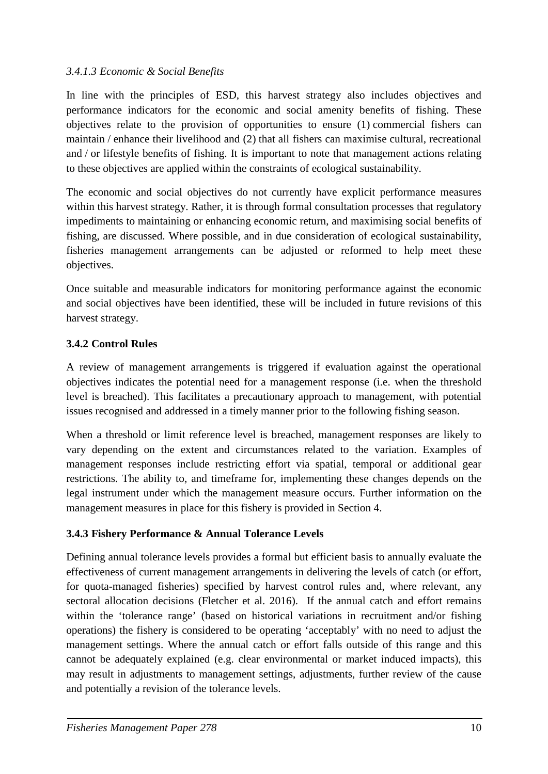#### *3.4.1.3 Economic & Social Benefits*

In line with the principles of ESD, this harvest strategy also includes objectives and performance indicators for the economic and social amenity benefits of fishing. These objectives relate to the provision of opportunities to ensure (1) commercial fishers can maintain / enhance their livelihood and (2) that all fishers can maximise cultural, recreational and / or lifestyle benefits of fishing. It is important to note that management actions relating to these objectives are applied within the constraints of ecological sustainability.

The economic and social objectives do not currently have explicit performance measures within this harvest strategy. Rather, it is through formal consultation processes that regulatory impediments to maintaining or enhancing economic return, and maximising social benefits of fishing, are discussed. Where possible, and in due consideration of ecological sustainability, fisheries management arrangements can be adjusted or reformed to help meet these objectives.

Once suitable and measurable indicators for monitoring performance against the economic and social objectives have been identified, these will be included in future revisions of this harvest strategy.

## <span id="page-13-0"></span>**3.4.2 Control Rules**

A review of management arrangements is triggered if evaluation against the operational objectives indicates the potential need for a management response (i.e. when the threshold level is breached). This facilitates a precautionary approach to management, with potential issues recognised and addressed in a timely manner prior to the following fishing season.

When a threshold or limit reference level is breached, management responses are likely to vary depending on the extent and circumstances related to the variation. Examples of management responses include restricting effort via spatial, temporal or additional gear restrictions. The ability to, and timeframe for, implementing these changes depends on the legal instrument under which the management measure occurs. Further information on the management measures in place for this fishery is provided in Section [4.](#page-23-0)

## <span id="page-13-1"></span>**3.4.3 Fishery Performance & Annual Tolerance Levels**

Defining annual tolerance levels provides a formal but efficient basis to annually evaluate the effectiveness of current management arrangements in delivering the levels of catch (or effort, for quota-managed fisheries) specified by harvest control rules and, where relevant, any sectoral allocation decisions (Fletcher et al. 2016). If the annual catch and effort remains within the 'tolerance range' (based on historical variations in recruitment and/or fishing operations) the fishery is considered to be operating 'acceptably' with no need to adjust the management settings. Where the annual catch or effort falls outside of this range and this cannot be adequately explained (e.g. clear environmental or market induced impacts), this may result in adjustments to management settings, adjustments, further review of the cause and potentially a revision of the tolerance levels.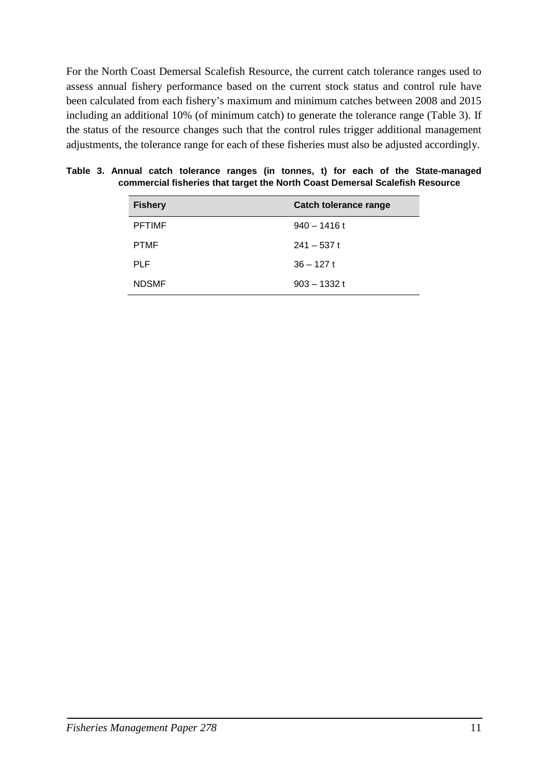For the North Coast Demersal Scalefish Resource, the current catch tolerance ranges used to assess annual fishery performance based on the current stock status and control rule have been calculated from each fishery's maximum and minimum catches between 2008 and 2015 including an additional 10% (of minimum catch) to generate the tolerance range (Table 3). If the status of the resource changes such that the control rules trigger additional management adjustments, the tolerance range for each of these fisheries must also be adjusted accordingly.

| <b>Fishery</b> | <b>Catch tolerance range</b> |
|----------------|------------------------------|
| <b>PFTIMF</b>  | $940 - 1416$ t               |
| <b>PTMF</b>    | $241 - 537t$                 |
| <b>PLF</b>     | $36 - 127t$                  |
| <b>NDSMF</b>   | $903 - 1332t$                |

**Table 3. Annual catch tolerance ranges (in tonnes, t) for each of the State-managed commercial fisheries that target the North Coast Demersal Scalefish Resource**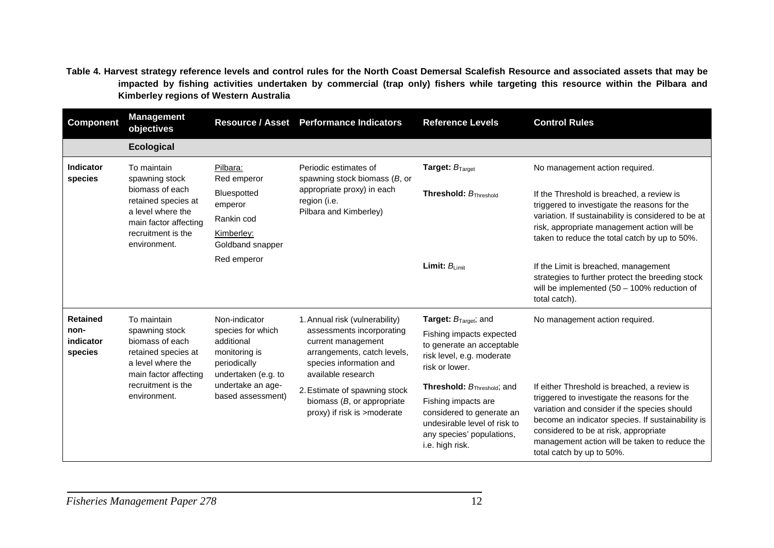**Table 4. Harvest strategy reference levels and control rules for the North Coast Demersal Scalefish Resource and associated assets that may be impacted by fishing activities undertaken by commercial (trap only) fishers while targeting this resource within the Pilbara and Kimberley regions of Western Australia**

<span id="page-15-0"></span>

| <b>Component</b>                                                                                               | <b>Management</b><br>objectives                                                                        |                                                                                                                                     | Resource / Asset Performance Indicators                      | <b>Reference Levels</b>                                                                                                          | <b>Control Rules</b>                                                                                                                                                                                                                                                     |  |
|----------------------------------------------------------------------------------------------------------------|--------------------------------------------------------------------------------------------------------|-------------------------------------------------------------------------------------------------------------------------------------|--------------------------------------------------------------|----------------------------------------------------------------------------------------------------------------------------------|--------------------------------------------------------------------------------------------------------------------------------------------------------------------------------------------------------------------------------------------------------------------------|--|
|                                                                                                                | <b>Ecological</b>                                                                                      |                                                                                                                                     |                                                              |                                                                                                                                  |                                                                                                                                                                                                                                                                          |  |
| Indicator<br>species                                                                                           | To maintain<br>spawning stock                                                                          | Pilbara:<br>Red emperor                                                                                                             | Periodic estimates of<br>spawning stock biomass $(B, or)$    | <b>Target: <math>B_{\text{Target}}</math></b>                                                                                    | No management action required.                                                                                                                                                                                                                                           |  |
| biomass of each<br>appropriate proxy) in each<br>Bluespotted<br>retained species at<br>region (i.e.<br>emperor |                                                                                                        |                                                                                                                                     | <b>Threshold:</b> $B_{\text{Threshold}}$                     | If the Threshold is breached, a review is<br>triggered to investigate the reasons for the                                        |                                                                                                                                                                                                                                                                          |  |
|                                                                                                                | a level where the<br>main factor affecting                                                             | Rankin cod                                                                                                                          | Pilbara and Kimberley)                                       |                                                                                                                                  | variation. If sustainability is considered to be at<br>risk, appropriate management action will be                                                                                                                                                                       |  |
|                                                                                                                | recruitment is the<br>environment.                                                                     | Kimberley:<br>Goldband snapper                                                                                                      |                                                              |                                                                                                                                  | taken to reduce the total catch by up to 50%.                                                                                                                                                                                                                            |  |
|                                                                                                                |                                                                                                        | Red emperor                                                                                                                         |                                                              | Limit: $B_{Limit}$                                                                                                               | If the Limit is breached, management<br>strategies to further protect the breeding stock<br>will be implemented $(50 - 100\%$ reduction of<br>total catch).                                                                                                              |  |
| <b>Retained</b>                                                                                                | To maintain                                                                                            | Non-indicator                                                                                                                       | 1. Annual risk (vulnerability)                               | <b>Target:</b> $B_{\text{Target}}$ ; and                                                                                         | No management action required.                                                                                                                                                                                                                                           |  |
| non-<br>indicator<br>species                                                                                   | spawning stock<br>biomass of each<br>retained species at<br>a level where the<br>main factor affecting | species for which<br>additional<br>current management<br>monitoring is<br>periodically<br>undertaken (e.g. to<br>available research |                                                              | assessments incorporating<br>arrangements, catch levels,<br>species information and                                              | Fishing impacts expected<br>to generate an acceptable<br>risk level, e.g. moderate<br>risk or lower.                                                                                                                                                                     |  |
| recruitment is the<br>based assessment)<br>environment.                                                        | undertake an age-                                                                                      | 2. Estimate of spawning stock                                                                                                       | <b>Threshold:</b> $B_{\text{Threshold}}$ ; and               | If either Threshold is breached, a review is                                                                                     |                                                                                                                                                                                                                                                                          |  |
|                                                                                                                |                                                                                                        |                                                                                                                                     | biomass $(B, or appropriate)$<br>proxy) if risk is >moderate | Fishing impacts are<br>considered to generate an<br>undesirable level of risk to<br>any species' populations,<br>i.e. high risk. | triggered to investigate the reasons for the<br>variation and consider if the species should<br>become an indicator species. If sustainability is<br>considered to be at risk, appropriate<br>management action will be taken to reduce the<br>total catch by up to 50%. |  |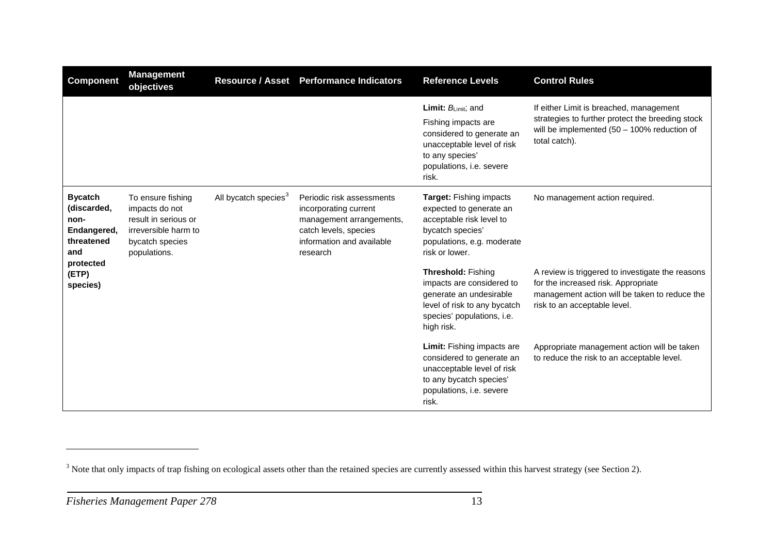<span id="page-16-0"></span>

| <b>Component</b>                                                                       | <b>Management</b><br>objectives                                                                                        |                                  | Resource / Asset Performance Indicators                                                                                                          | <b>Reference Levels</b>                                                                                                                                                   | <b>Control Rules</b>                                                                                                                                                     |
|----------------------------------------------------------------------------------------|------------------------------------------------------------------------------------------------------------------------|----------------------------------|--------------------------------------------------------------------------------------------------------------------------------------------------|---------------------------------------------------------------------------------------------------------------------------------------------------------------------------|--------------------------------------------------------------------------------------------------------------------------------------------------------------------------|
|                                                                                        |                                                                                                                        |                                  |                                                                                                                                                  | <b>Limit:</b> $B_{Limit}$ ; and<br>Fishing impacts are<br>considered to generate an<br>unacceptable level of risk<br>to any species'<br>populations, i.e. severe<br>risk. | If either Limit is breached, management<br>strategies to further protect the breeding stock<br>will be implemented $(50 - 100\%$ reduction of<br>total catch).           |
| <b>Bycatch</b><br>(discarded,<br>non-<br>Endangered,<br>threatened<br>and<br>protected | To ensure fishing<br>impacts do not<br>result in serious or<br>irreversible harm to<br>bycatch species<br>populations. | All bycatch species <sup>3</sup> | Periodic risk assessments<br>incorporating current<br>management arrangements,<br>catch levels, species<br>information and available<br>research | Target: Fishing impacts<br>expected to generate an<br>acceptable risk level to<br>bycatch species'<br>populations, e.g. moderate<br>risk or lower.                        | No management action required.                                                                                                                                           |
| (ETP)<br>species)                                                                      |                                                                                                                        |                                  |                                                                                                                                                  | <b>Threshold: Fishing</b><br>impacts are considered to<br>generate an undesirable<br>level of risk to any bycatch<br>species' populations, i.e.<br>high risk.             | A review is triggered to investigate the reasons<br>for the increased risk. Appropriate<br>management action will be taken to reduce the<br>risk to an acceptable level. |
|                                                                                        |                                                                                                                        |                                  |                                                                                                                                                  | <b>Limit:</b> Fishing impacts are<br>considered to generate an<br>unacceptable level of risk<br>to any bycatch species'<br>populations, i.e. severe<br>risk.              | Appropriate management action will be taken<br>to reduce the risk to an acceptable level.                                                                                |

 $\overline{a}$ 

<sup>&</sup>lt;sup>3</sup> Note that only impacts of trap fishing on ecological assets other than the retained species are currently assessed within this harvest strategy (see Section [2\)](#page-4-3).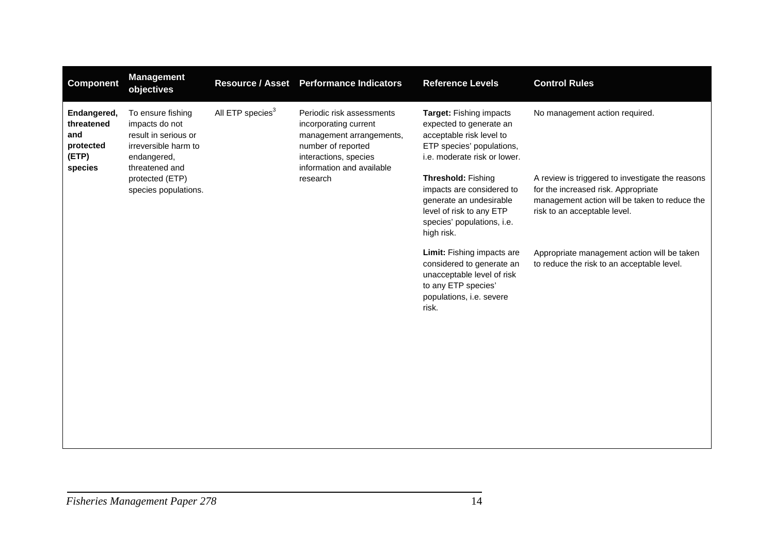| <b>Component</b>                                                  | <b>Management</b><br>objectives                                                                                      | <b>Resource / Asset</b>      | <b>Performance Indicators</b>                                                                                                                              | <b>Reference Levels</b>                                                                                                                            | <b>Control Rules</b>                                                                                                                                                     |
|-------------------------------------------------------------------|----------------------------------------------------------------------------------------------------------------------|------------------------------|------------------------------------------------------------------------------------------------------------------------------------------------------------|----------------------------------------------------------------------------------------------------------------------------------------------------|--------------------------------------------------------------------------------------------------------------------------------------------------------------------------|
| Endangered,<br>threatened<br>and<br>protected<br>(ETP)<br>species | To ensure fishing<br>impacts do not<br>result in serious or<br>irreversible harm to<br>endangered,<br>threatened and | All ETP species <sup>3</sup> | Periodic risk assessments<br>incorporating current<br>management arrangements,<br>number of reported<br>interactions, species<br>information and available | Target: Fishing impacts<br>expected to generate an<br>acceptable risk level to<br>ETP species' populations,<br>i.e. moderate risk or lower.        | No management action required.                                                                                                                                           |
|                                                                   | protected (ETP)<br>species populations.                                                                              |                              | research                                                                                                                                                   | Threshold: Fishing<br>impacts are considered to<br>generate an undesirable<br>level of risk to any ETP<br>species' populations, i.e.<br>high risk. | A review is triggered to investigate the reasons<br>for the increased risk. Appropriate<br>management action will be taken to reduce the<br>risk to an acceptable level. |
|                                                                   |                                                                                                                      |                              |                                                                                                                                                            | Limit: Fishing impacts are<br>considered to generate an<br>unacceptable level of risk<br>to any ETP species'<br>populations, i.e. severe<br>risk.  | Appropriate management action will be taken<br>to reduce the risk to an acceptable level.                                                                                |
|                                                                   |                                                                                                                      |                              |                                                                                                                                                            |                                                                                                                                                    |                                                                                                                                                                          |
|                                                                   |                                                                                                                      |                              |                                                                                                                                                            |                                                                                                                                                    |                                                                                                                                                                          |
|                                                                   |                                                                                                                      |                              |                                                                                                                                                            |                                                                                                                                                    |                                                                                                                                                                          |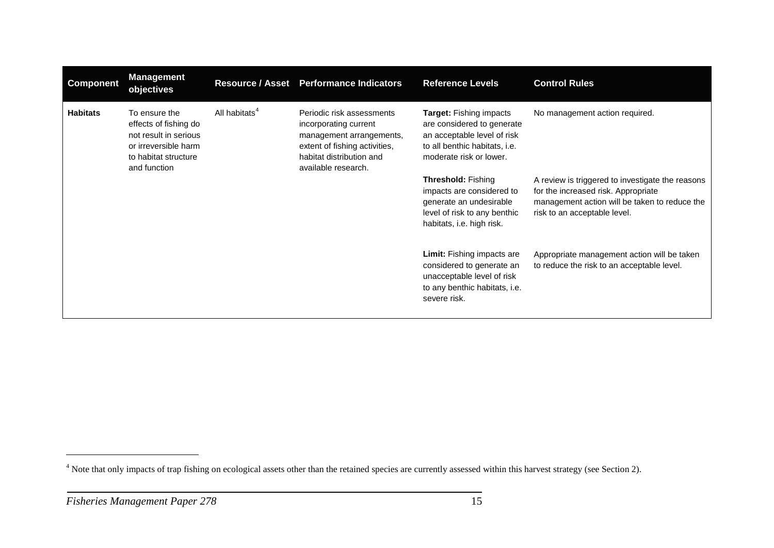<span id="page-18-0"></span>

| <b>Component</b> | <b>Management</b><br>objectives                                                                                                 | <b>Resource / Asset</b>   | <b>Performance Indicators</b>                                                                                                                                      | <b>Reference Levels</b>                                                                                                                                 | <b>Control Rules</b>                                                                                                                                                     |
|------------------|---------------------------------------------------------------------------------------------------------------------------------|---------------------------|--------------------------------------------------------------------------------------------------------------------------------------------------------------------|---------------------------------------------------------------------------------------------------------------------------------------------------------|--------------------------------------------------------------------------------------------------------------------------------------------------------------------------|
| <b>Habitats</b>  | To ensure the<br>effects of fishing do<br>not result in serious<br>or irreversible harm<br>to habitat structure<br>and function | All habitats <sup>4</sup> | Periodic risk assessments<br>incorporating current<br>management arrangements,<br>extent of fishing activities,<br>habitat distribution and<br>available research. | <b>Target:</b> Fishing impacts<br>are considered to generate<br>an acceptable level of risk<br>to all benthic habitats, i.e.<br>moderate risk or lower. | No management action required.                                                                                                                                           |
|                  |                                                                                                                                 |                           |                                                                                                                                                                    | <b>Threshold: Fishing</b><br>impacts are considered to<br>generate an undesirable<br>level of risk to any benthic<br>habitats, i.e. high risk.          | A review is triggered to investigate the reasons<br>for the increased risk. Appropriate<br>management action will be taken to reduce the<br>risk to an acceptable level. |
|                  |                                                                                                                                 |                           |                                                                                                                                                                    | <b>Limit:</b> Fishing impacts are<br>considered to generate an<br>unacceptable level of risk<br>to any benthic habitats, i.e.<br>severe risk.           | Appropriate management action will be taken<br>to reduce the risk to an acceptable level.                                                                                |

 $\overline{a}$ 

<sup>&</sup>lt;sup>4</sup> Note that only impacts of trap fishing on ecological assets other than the retained species are currently assessed within this harvest strategy (see Section [2\)](#page-4-3).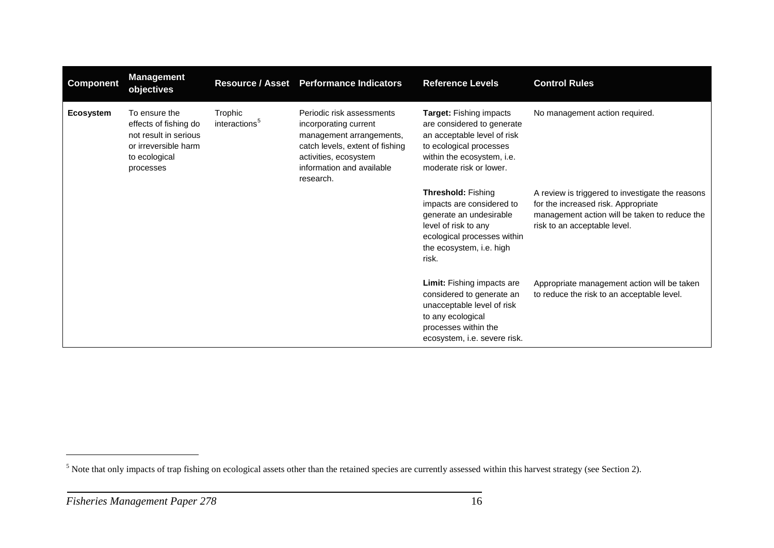<span id="page-19-0"></span>

| <b>Component</b> | <b>Management</b><br>objectives                                                                                       | <b>Resource / Asset</b>              | <b>Performance Indicators</b>                                                                                                                                                        | <b>Reference Levels</b>                                                                                                                                                       | <b>Control Rules</b>                                                                                                                                                     |
|------------------|-----------------------------------------------------------------------------------------------------------------------|--------------------------------------|--------------------------------------------------------------------------------------------------------------------------------------------------------------------------------------|-------------------------------------------------------------------------------------------------------------------------------------------------------------------------------|--------------------------------------------------------------------------------------------------------------------------------------------------------------------------|
| <b>Ecosystem</b> | To ensure the<br>effects of fishing do<br>not result in serious<br>or irreversible harm<br>to ecological<br>processes | Trophic<br>interactions <sup>5</sup> | Periodic risk assessments<br>incorporating current<br>management arrangements,<br>catch levels, extent of fishing<br>activities, ecosystem<br>information and available<br>research. | Target: Fishing impacts<br>are considered to generate<br>an acceptable level of risk<br>to ecological processes<br>within the ecosystem, i.e.<br>moderate risk or lower.      | No management action required.                                                                                                                                           |
|                  |                                                                                                                       |                                      |                                                                                                                                                                                      | <b>Threshold: Fishing</b><br>impacts are considered to<br>generate an undesirable<br>level of risk to any<br>ecological processes within<br>the ecosystem, i.e. high<br>risk. | A review is triggered to investigate the reasons<br>for the increased risk. Appropriate<br>management action will be taken to reduce the<br>risk to an acceptable level. |
|                  |                                                                                                                       |                                      |                                                                                                                                                                                      | Limit: Fishing impacts are<br>considered to generate an<br>unacceptable level of risk<br>to any ecological<br>processes within the<br>ecosystem, i.e. severe risk.            | Appropriate management action will be taken<br>to reduce the risk to an acceptable level.                                                                                |

 $\overline{a}$ 

<sup>&</sup>lt;sup>5</sup> Note that only impacts of trap fishing on ecological assets other than the retained species are currently assessed within this harvest strategy (see Section [2\)](#page-4-3).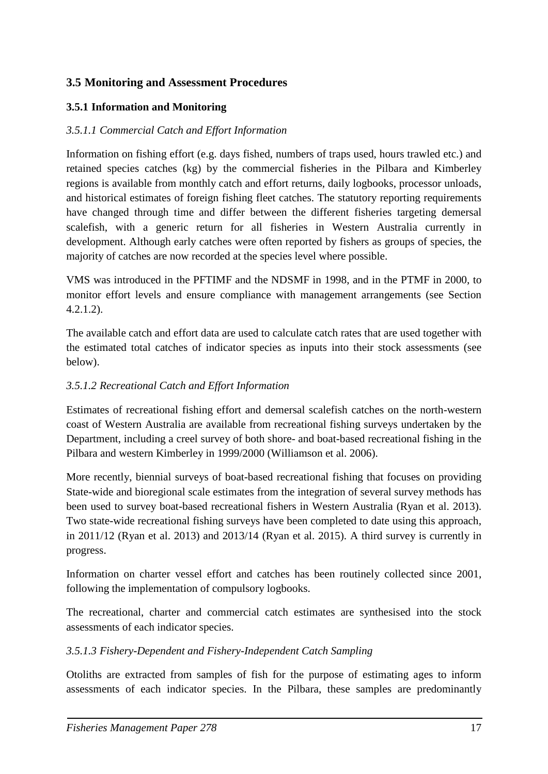## <span id="page-20-0"></span>**3.5 Monitoring and Assessment Procedures**

#### <span id="page-20-1"></span>**3.5.1 Information and Monitoring**

#### *3.5.1.1 Commercial Catch and Effort Information*

Information on fishing effort (e.g. days fished, numbers of traps used, hours trawled etc.) and retained species catches (kg) by the commercial fisheries in the Pilbara and Kimberley regions is available from monthly catch and effort returns, daily logbooks, processor unloads, and historical estimates of foreign fishing fleet catches. The statutory reporting requirements have changed through time and differ between the different fisheries targeting demersal scalefish, with a generic return for all fisheries in Western Australia currently in development. Although early catches were often reported by fishers as groups of species, the majority of catches are now recorded at the species level where possible.

VMS was introduced in the PFTIMF and the NDSMF in 1998, and in the PTMF in 2000, to monitor effort levels and ensure compliance with management arrangements (see Section [4.2.1.2\)](#page-29-0).

The available catch and effort data are used to calculate catch rates that are used together with the estimated total catches of indicator species as inputs into their stock assessments (see below).

#### *3.5.1.2 Recreational Catch and Effort Information*

Estimates of recreational fishing effort and demersal scalefish catches on the north-western coast of Western Australia are available from recreational fishing surveys undertaken by the Department, including a creel survey of both shore- and boat-based recreational fishing in the Pilbara and western Kimberley in 1999/2000 (Williamson et al. 2006).

More recently, biennial surveys of boat-based recreational fishing that focuses on providing State-wide and bioregional scale estimates from the integration of several survey methods has been used to survey boat-based recreational fishers in Western Australia (Ryan et al. 2013). Two state-wide recreational fishing surveys have been completed to date using this approach, in 2011/12 (Ryan et al. 2013) and 2013/14 (Ryan et al. 2015). A third survey is currently in progress.

Information on charter vessel effort and catches has been routinely collected since 2001, following the implementation of compulsory logbooks.

The recreational, charter and commercial catch estimates are synthesised into the stock assessments of each indicator species.

#### *3.5.1.3 Fishery-Dependent and Fishery-Independent Catch Sampling*

Otoliths are extracted from samples of fish for the purpose of estimating ages to inform assessments of each indicator species. In the Pilbara, these samples are predominantly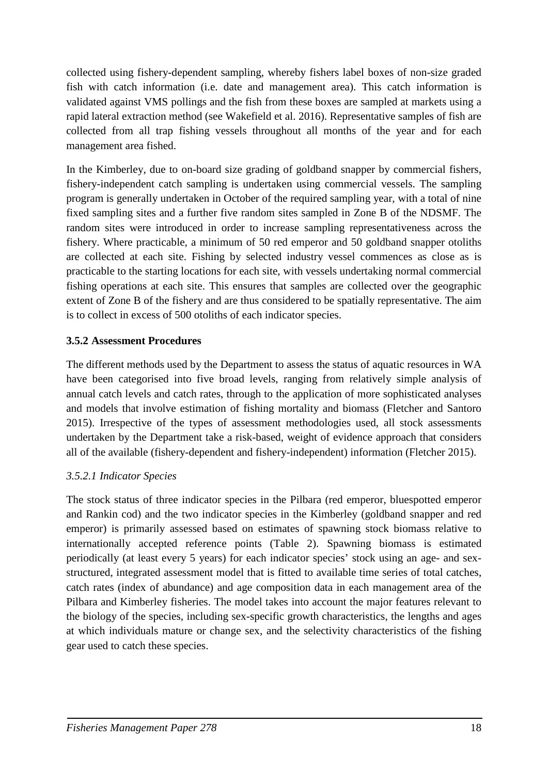collected using fishery-dependent sampling, whereby fishers label boxes of non-size graded fish with catch information (i.e. date and management area). This catch information is validated against VMS pollings and the fish from these boxes are sampled at markets using a rapid lateral extraction method (see Wakefield et al. 2016). Representative samples of fish are collected from all trap fishing vessels throughout all months of the year and for each management area fished.

In the Kimberley, due to on-board size grading of goldband snapper by commercial fishers, fishery-independent catch sampling is undertaken using commercial vessels. The sampling program is generally undertaken in October of the required sampling year, with a total of nine fixed sampling sites and a further five random sites sampled in Zone B of the NDSMF. The random sites were introduced in order to increase sampling representativeness across the fishery. Where practicable, a minimum of 50 red emperor and 50 goldband snapper otoliths are collected at each site. Fishing by selected industry vessel commences as close as is practicable to the starting locations for each site, with vessels undertaking normal commercial fishing operations at each site. This ensures that samples are collected over the geographic extent of Zone B of the fishery and are thus considered to be spatially representative. The aim is to collect in excess of 500 otoliths of each indicator species.

#### <span id="page-21-0"></span>**3.5.2 Assessment Procedures**

The different methods used by the Department to assess the status of aquatic resources in WA have been categorised into five broad levels, ranging from relatively simple analysis of annual catch levels and catch rates, through to the application of more sophisticated analyses and models that involve estimation of fishing mortality and biomass (Fletcher and Santoro 2015). Irrespective of the types of assessment methodologies used, all stock assessments undertaken by the Department take a risk-based, weight of evidence approach that considers all of the available (fishery-dependent and fishery-independent) information (Fletcher 2015).

#### *3.5.2.1 Indicator Species*

The stock status of three indicator species in the Pilbara (red emperor, bluespotted emperor and Rankin cod) and the two indicator species in the Kimberley (goldband snapper and red emperor) is primarily assessed based on estimates of spawning stock biomass relative to internationally accepted reference points [\(Table 2\)](#page-12-1). Spawning biomass is estimated periodically (at least every 5 years) for each indicator species' stock using an age- and sexstructured, integrated assessment model that is fitted to available time series of total catches, catch rates (index of abundance) and age composition data in each management area of the Pilbara and Kimberley fisheries. The model takes into account the major features relevant to the biology of the species, including sex-specific growth characteristics, the lengths and ages at which individuals mature or change sex, and the selectivity characteristics of the fishing gear used to catch these species.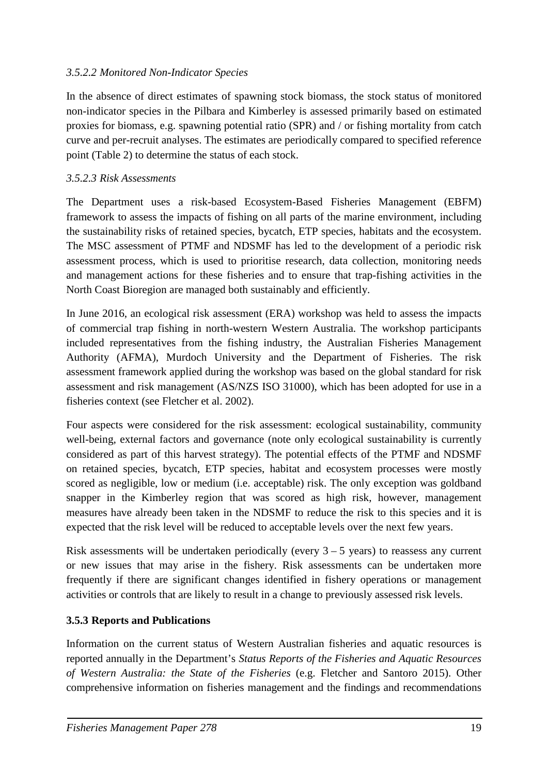#### *3.5.2.2 Monitored Non-Indicator Species*

In the absence of direct estimates of spawning stock biomass, the stock status of monitored non-indicator species in the Pilbara and Kimberley is assessed primarily based on estimated proxies for biomass, e.g. spawning potential ratio (SPR) and / or fishing mortality from catch curve and per-recruit analyses. The estimates are periodically compared to specified reference point [\(Table 2\)](#page-12-1) to determine the status of each stock.

#### *3.5.2.3 Risk Assessments*

The Department uses a risk-based Ecosystem-Based Fisheries Management (EBFM) framework to assess the impacts of fishing on all parts of the marine environment, including the sustainability risks of retained species, bycatch, ETP species, habitats and the ecosystem. The MSC assessment of PTMF and NDSMF has led to the development of a periodic risk assessment process, which is used to prioritise research, data collection, monitoring needs and management actions for these fisheries and to ensure that trap-fishing activities in the North Coast Bioregion are managed both sustainably and efficiently.

In June 2016, an ecological risk assessment (ERA) workshop was held to assess the impacts of commercial trap fishing in north-western Western Australia. The workshop participants included representatives from the fishing industry, the Australian Fisheries Management Authority (AFMA), Murdoch University and the Department of Fisheries. The risk assessment framework applied during the workshop was based on the global standard for risk assessment and risk management (AS/NZS ISO 31000), which has been adopted for use in a fisheries context (see Fletcher et al. 2002).

Four aspects were considered for the risk assessment: ecological sustainability, community well-being, external factors and governance (note only ecological sustainability is currently considered as part of this harvest strategy). The potential effects of the PTMF and NDSMF on retained species, bycatch, ETP species, habitat and ecosystem processes were mostly scored as negligible, low or medium (i.e. acceptable) risk. The only exception was goldband snapper in the Kimberley region that was scored as high risk, however, management measures have already been taken in the NDSMF to reduce the risk to this species and it is expected that the risk level will be reduced to acceptable levels over the next few years.

Risk assessments will be undertaken periodically (every  $3 - 5$  years) to reassess any current or new issues that may arise in the fishery. Risk assessments can be undertaken more frequently if there are significant changes identified in fishery operations or management activities or controls that are likely to result in a change to previously assessed risk levels.

## <span id="page-22-0"></span>**3.5.3 Reports and Publications**

Information on the current status of Western Australian fisheries and aquatic resources is reported annually in the Department's *Status Reports of the Fisheries and Aquatic Resources of Western Australia: the State of the Fisheries* (e.g. Fletcher and Santoro 2015). Other comprehensive information on fisheries management and the findings and recommendations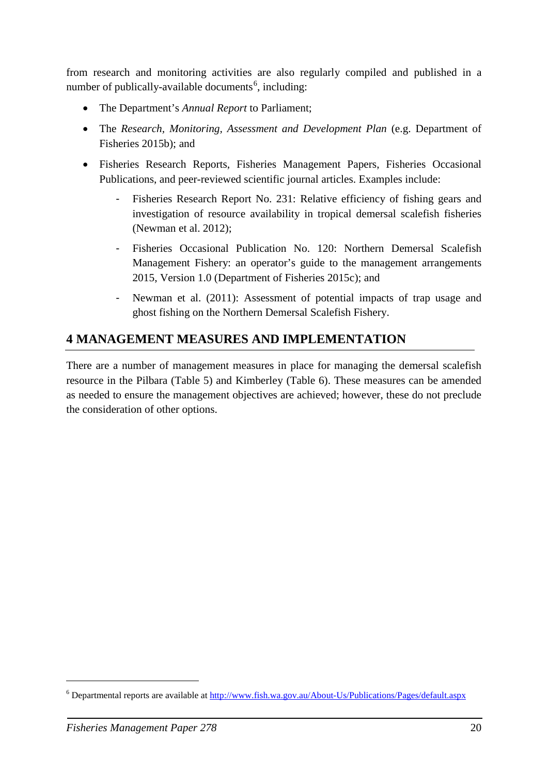from research and monitoring activities are also regularly compiled and published in a number of publically-available documents<sup>[6](#page-23-1)</sup>, including:

- The Department's *Annual Report* to Parliament;
- The *Research, Monitoring, Assessment and Development Plan (e.g. Department of* Fisheries 2015b); and
- Fisheries Research Reports, Fisheries Management Papers, Fisheries Occasional Publications, and peer-reviewed scientific journal articles. Examples include:
	- Fisheries Research Report No. 231: Relative efficiency of fishing gears and investigation of resource availability in tropical demersal scalefish fisheries (Newman et al. 2012);
	- Fisheries Occasional Publication No. 120: Northern Demersal Scalefish Management Fishery: an operator's guide to the management arrangements 2015, Version 1.0 (Department of Fisheries 2015c); and
	- Newman et al. (2011): Assessment of potential impacts of trap usage and ghost fishing on the Northern Demersal Scalefish Fishery.

## <span id="page-23-0"></span>**4 MANAGEMENT MEASURES AND IMPLEMENTATION**

There are a number of management measures in place for managing the demersal scalefish resource in the Pilbara [\(Table 5\)](#page-24-0) and Kimberley [\(Table 6\)](#page-25-1). These measures can be amended as needed to ensure the management objectives are achieved; however, these do not preclude the consideration of other options.

-

<span id="page-23-1"></span><sup>6</sup> Departmental reports are available at<http://www.fish.wa.gov.au/About-Us/Publications/Pages/default.aspx>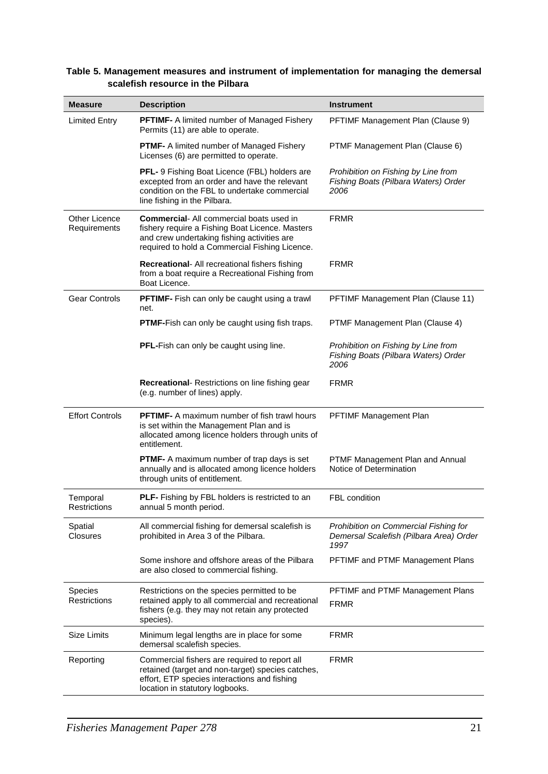| <b>Measure</b>                 | <b>Description</b>                                                                                                                                                                                  | <b>Instrument</b>                                                                        |
|--------------------------------|-----------------------------------------------------------------------------------------------------------------------------------------------------------------------------------------------------|------------------------------------------------------------------------------------------|
| <b>Limited Entry</b>           | <b>PFTIMF-</b> A limited number of Managed Fishery<br>Permits (11) are able to operate.                                                                                                             | PFTIMF Management Plan (Clause 9)                                                        |
|                                | <b>PTMF-</b> A limited number of Managed Fishery<br>Licenses (6) are permitted to operate.                                                                                                          | PTMF Management Plan (Clause 6)                                                          |
|                                | PFL- 9 Fishing Boat Licence (FBL) holders are<br>excepted from an order and have the relevant<br>condition on the FBL to undertake commercial<br>line fishing in the Pilbara.                       | Prohibition on Fishing by Line from<br>Fishing Boats (Pilbara Waters) Order<br>2006      |
| Other Licence<br>Requirements  | <b>Commercial-</b> All commercial boats used in<br>fishery require a Fishing Boat Licence. Masters<br>and crew undertaking fishing activities are<br>required to hold a Commercial Fishing Licence. | <b>FRMR</b>                                                                              |
|                                | <b>Recreational-</b> All recreational fishers fishing<br>from a boat require a Recreational Fishing from<br>Boat Licence.                                                                           | <b>FRMR</b>                                                                              |
| <b>Gear Controls</b>           | <b>PFTIMF-</b> Fish can only be caught using a trawl<br>net.                                                                                                                                        | PFTIMF Management Plan (Clause 11)                                                       |
|                                | PTMF-Fish can only be caught using fish traps.                                                                                                                                                      | PTMF Management Plan (Clause 4)                                                          |
|                                | PFL-Fish can only be caught using line.                                                                                                                                                             | Prohibition on Fishing by Line from<br>Fishing Boats (Pilbara Waters) Order<br>2006      |
|                                | Recreational- Restrictions on line fishing gear<br>(e.g. number of lines) apply.                                                                                                                    | <b>FRMR</b>                                                                              |
| <b>Effort Controls</b>         | <b>PFTIMF-</b> A maximum number of fish trawl hours<br>is set within the Management Plan and is<br>allocated among licence holders through units of<br>entitlement.                                 | PFTIMF Management Plan                                                                   |
|                                | <b>PTMF-</b> A maximum number of trap days is set<br>annually and is allocated among licence holders<br>through units of entitlement.                                                               | PTMF Management Plan and Annual<br>Notice of Determination                               |
| Temporal<br>Restrictions       | <b>PLF-</b> Fishing by FBL holders is restricted to an<br>annual 5 month period.                                                                                                                    | FBL condition                                                                            |
| Spatial<br><b>Closures</b>     | All commercial fishing for demersal scalefish is<br>prohibited in Area 3 of the Pilbara.                                                                                                            | Prohibition on Commercial Fishing for<br>Demersal Scalefish (Pilbara Area) Order<br>1997 |
|                                | Some inshore and offshore areas of the Pilbara<br>are also closed to commercial fishing.                                                                                                            | PFTIMF and PTMF Management Plans                                                         |
| Species<br><b>Restrictions</b> | Restrictions on the species permitted to be<br>retained apply to all commercial and recreational<br>fishers (e.g. they may not retain any protected<br>species).                                    | PFTIMF and PTMF Management Plans<br><b>FRMR</b>                                          |
| Size Limits                    | Minimum legal lengths are in place for some<br>demersal scalefish species.                                                                                                                          | <b>FRMR</b>                                                                              |
| Reporting                      | Commercial fishers are required to report all<br>retained (target and non-target) species catches,<br>effort, ETP species interactions and fishing<br>location in statutory logbooks.               | <b>FRMR</b>                                                                              |

#### <span id="page-24-0"></span>**Table 5. Management measures and instrument of implementation for managing the demersal scalefish resource in the Pilbara**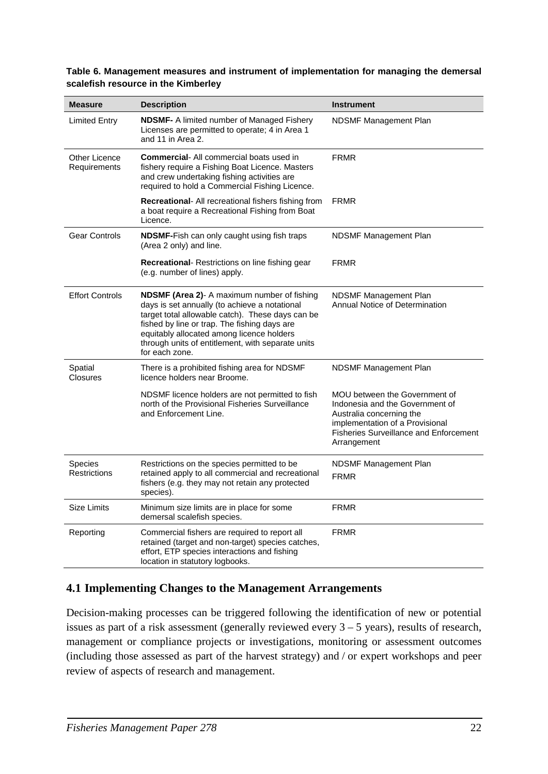| <b>Measure</b>                        | <b>Description</b>                                                                                                                                                                                                                                                                                                   | <b>Instrument</b>                                                                                                                                                                               |
|---------------------------------------|----------------------------------------------------------------------------------------------------------------------------------------------------------------------------------------------------------------------------------------------------------------------------------------------------------------------|-------------------------------------------------------------------------------------------------------------------------------------------------------------------------------------------------|
| Limited Entry                         | <b>NDSMF-</b> A limited number of Managed Fishery<br>Licenses are permitted to operate; 4 in Area 1<br>and 11 in Area 2.                                                                                                                                                                                             | NDSMF Management Plan                                                                                                                                                                           |
| Other Licence<br>Requirements         | <b>Commercial-</b> All commercial boats used in<br>fishery require a Fishing Boat Licence. Masters<br>and crew undertaking fishing activities are<br>required to hold a Commercial Fishing Licence.                                                                                                                  | <b>FRMR</b>                                                                                                                                                                                     |
|                                       | <b>Recreational-</b> All recreational fishers fishing from<br>a boat require a Recreational Fishing from Boat<br>Licence.                                                                                                                                                                                            | <b>FRMR</b>                                                                                                                                                                                     |
| <b>Gear Controls</b>                  | NDSMF-Fish can only caught using fish traps<br>(Area 2 only) and line.                                                                                                                                                                                                                                               | NDSMF Management Plan                                                                                                                                                                           |
|                                       | <b>Recreational-</b> Restrictions on line fishing gear<br>(e.g. number of lines) apply.                                                                                                                                                                                                                              | <b>FRMR</b>                                                                                                                                                                                     |
| <b>Effort Controls</b>                | NDSMF (Area 2)- A maximum number of fishing<br>days is set annually (to achieve a notational<br>target total allowable catch). These days can be<br>fished by line or trap. The fishing days are<br>equitably allocated among licence holders<br>through units of entitlement, with separate units<br>for each zone. | NDSMF Management Plan<br><b>Annual Notice of Determination</b>                                                                                                                                  |
| Spatial<br><b>Closures</b>            | There is a prohibited fishing area for NDSMF<br>licence holders near Broome.                                                                                                                                                                                                                                         | NDSMF Management Plan                                                                                                                                                                           |
|                                       | NDSMF licence holders are not permitted to fish<br>north of the Provisional Fisheries Surveillance<br>and Enforcement Line.                                                                                                                                                                                          | MOU between the Government of<br>Indonesia and the Government of<br>Australia concerning the<br>implementation of a Provisional<br><b>Fisheries Surveillance and Enforcement</b><br>Arrangement |
| <b>Species</b><br><b>Restrictions</b> | Restrictions on the species permitted to be<br>retained apply to all commercial and recreational<br>fishers (e.g. they may not retain any protected<br>species).                                                                                                                                                     | NDSMF Management Plan<br><b>FRMR</b>                                                                                                                                                            |
| <b>Size Limits</b>                    | Minimum size limits are in place for some<br>demersal scalefish species.                                                                                                                                                                                                                                             | <b>FRMR</b>                                                                                                                                                                                     |
| Reporting                             | Commercial fishers are required to report all<br>retained (target and non-target) species catches,<br>effort, ETP species interactions and fishing<br>location in statutory logbooks.                                                                                                                                | <b>FRMR</b>                                                                                                                                                                                     |

#### <span id="page-25-1"></span>**Table 6. Management measures and instrument of implementation for managing the demersal scalefish resource in the Kimberley**

## <span id="page-25-0"></span>**4.1 Implementing Changes to the Management Arrangements**

Decision-making processes can be triggered following the identification of new or potential issues as part of a risk assessment (generally reviewed every 3 – 5 years), results of research, management or compliance projects or investigations, monitoring or assessment outcomes (including those assessed as part of the harvest strategy) and / or expert workshops and peer review of aspects of research and management.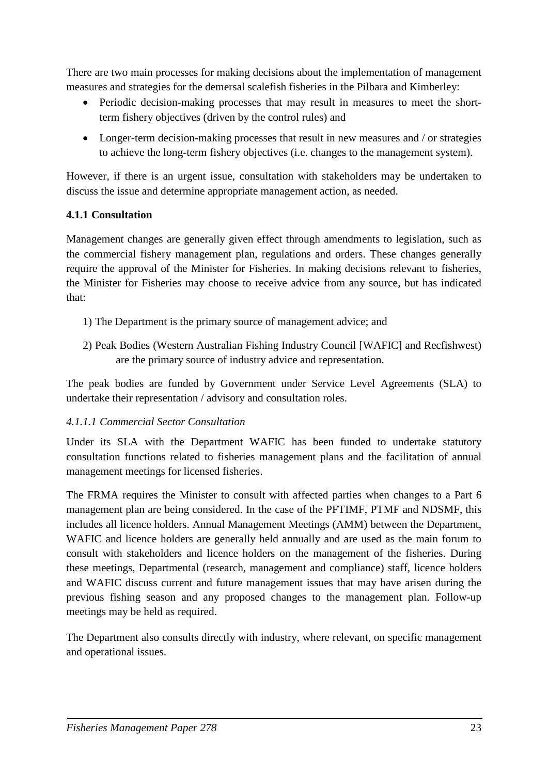There are two main processes for making decisions about the implementation of management measures and strategies for the demersal scalefish fisheries in the Pilbara and Kimberley:

- Periodic decision-making processes that may result in measures to meet the shortterm fishery objectives (driven by the control rules) and
- Longer-term decision-making processes that result in new measures and / or strategies to achieve the long-term fishery objectives (i.e. changes to the management system).

However, if there is an urgent issue, consultation with stakeholders may be undertaken to discuss the issue and determine appropriate management action, as needed.

## <span id="page-26-0"></span>**4.1.1 Consultation**

Management changes are generally given effect through amendments to legislation, such as the commercial fishery management plan, regulations and orders. These changes generally require the approval of the Minister for Fisheries. In making decisions relevant to fisheries, the Minister for Fisheries may choose to receive advice from any source, but has indicated that:

- 1) The Department is the primary source of management advice; and
- 2) Peak Bodies (Western Australian Fishing Industry Council [WAFIC] and Recfishwest) are the primary source of industry advice and representation.

The peak bodies are funded by Government under Service Level Agreements (SLA) to undertake their representation / advisory and consultation roles.

#### *4.1.1.1 Commercial Sector Consultation*

Under its SLA with the Department WAFIC has been funded to undertake statutory consultation functions related to fisheries management plans and the facilitation of annual management meetings for licensed fisheries.

The FRMA requires the Minister to consult with affected parties when changes to a Part 6 management plan are being considered. In the case of the PFTIMF, PTMF and NDSMF, this includes all licence holders. Annual Management Meetings (AMM) between the Department, WAFIC and licence holders are generally held annually and are used as the main forum to consult with stakeholders and licence holders on the management of the fisheries. During these meetings, Departmental (research, management and compliance) staff, licence holders and WAFIC discuss current and future management issues that may have arisen during the previous fishing season and any proposed changes to the management plan. Follow-up meetings may be held as required.

The Department also consults directly with industry, where relevant, on specific management and operational issues.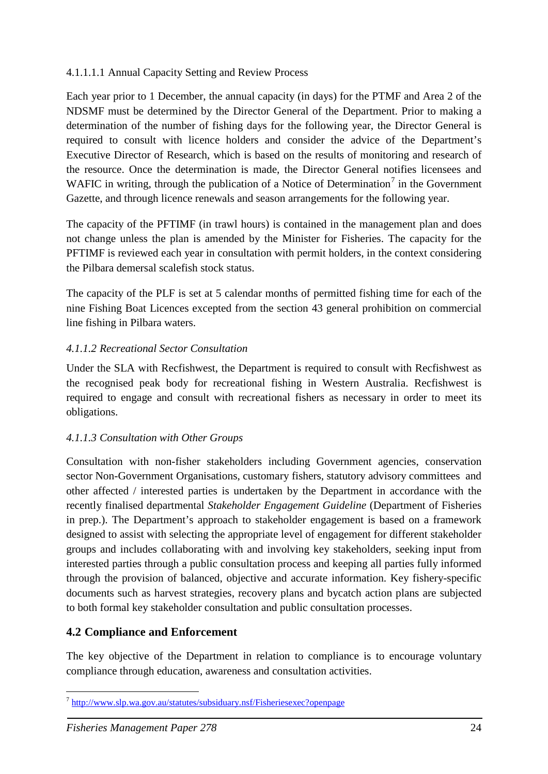#### 4.1.1.1.1 Annual Capacity Setting and Review Process

Each year prior to 1 December, the annual capacity (in days) for the PTMF and Area 2 of the NDSMF must be determined by the Director General of the Department. Prior to making a determination of the number of fishing days for the following year, the Director General is required to consult with licence holders and consider the advice of the Department's Executive Director of Research, which is based on the results of monitoring and research of the resource. Once the determination is made, the Director General notifies licensees and WAFIC in writing, through the publication of a Notice of Determination<sup>[7](#page-27-1)</sup> in the Government Gazette, and through licence renewals and season arrangements for the following year.

The capacity of the PFTIMF (in trawl hours) is contained in the management plan and does not change unless the plan is amended by the Minister for Fisheries. The capacity for the PFTIMF is reviewed each year in consultation with permit holders, in the context considering the Pilbara demersal scalefish stock status.

The capacity of the PLF is set at 5 calendar months of permitted fishing time for each of the nine Fishing Boat Licences excepted from the section 43 general prohibition on commercial line fishing in Pilbara waters.

## *4.1.1.2 Recreational Sector Consultation*

Under the SLA with Recfishwest, the Department is required to consult with Recfishwest as the recognised peak body for recreational fishing in Western Australia. Recfishwest is required to engage and consult with recreational fishers as necessary in order to meet its obligations.

## *4.1.1.3 Consultation with Other Groups*

Consultation with non-fisher stakeholders including Government agencies, conservation sector Non-Government Organisations, customary fishers, statutory advisory committees and other affected / interested parties is undertaken by the Department in accordance with the recently finalised departmental *Stakeholder Engagement Guideline* (Department of Fisheries in prep.). The Department's approach to stakeholder engagement is based on a framework designed to assist with selecting the appropriate level of engagement for different stakeholder groups and includes collaborating with and involving key stakeholders, seeking input from interested parties through a public consultation process and keeping all parties fully informed through the provision of balanced, objective and accurate information. Key fishery-specific documents such as harvest strategies, recovery plans and bycatch action plans are subjected to both formal key stakeholder consultation and public consultation processes.

## <span id="page-27-0"></span>**4.2 Compliance and Enforcement**

The key objective of the Department in relation to compliance is to encourage voluntary compliance through education, awareness and consultation activities.

<span id="page-27-1"></span><sup>&</sup>lt;u>.</u> <sup>7</sup> <http://www.slp.wa.gov.au/statutes/subsiduary.nsf/Fisheriesexec?openpage>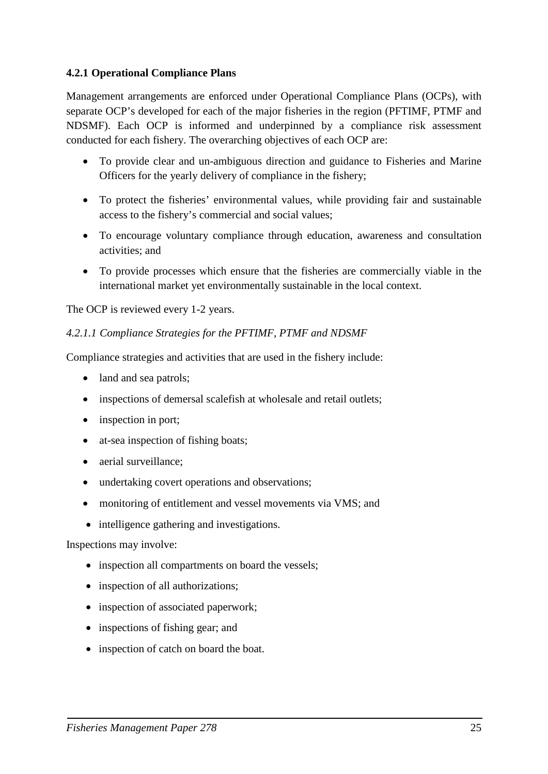#### <span id="page-28-0"></span>**4.2.1 Operational Compliance Plans**

Management arrangements are enforced under Operational Compliance Plans (OCPs), with separate OCP's developed for each of the major fisheries in the region (PFTIMF, PTMF and NDSMF). Each OCP is informed and underpinned by a compliance risk assessment conducted for each fishery. The overarching objectives of each OCP are:

- To provide clear and un-ambiguous direction and guidance to Fisheries and Marine Officers for the yearly delivery of compliance in the fishery;
- To protect the fisheries' environmental values, while providing fair and sustainable access to the fishery's commercial and social values;
- To encourage voluntary compliance through education, awareness and consultation activities; and
- To provide processes which ensure that the fisheries are commercially viable in the international market yet environmentally sustainable in the local context.

The OCP is reviewed every 1-2 years.

#### *4.2.1.1 Compliance Strategies for the PFTIMF, PTMF and NDSMF*

Compliance strategies and activities that are used in the fishery include:

- land and sea patrols;
- inspections of demersal scalefish at wholesale and retail outlets;
- inspection in port:
- at-sea inspection of fishing boats;
- aerial surveillance:
- undertaking covert operations and observations;
- monitoring of entitlement and vessel movements via VMS; and
- intelligence gathering and investigations.

#### Inspections may involve:

- inspection all compartments on board the vessels;
- inspection of all authorizations;
- inspection of associated paperwork;
- inspections of fishing gear; and
- inspection of catch on board the boat.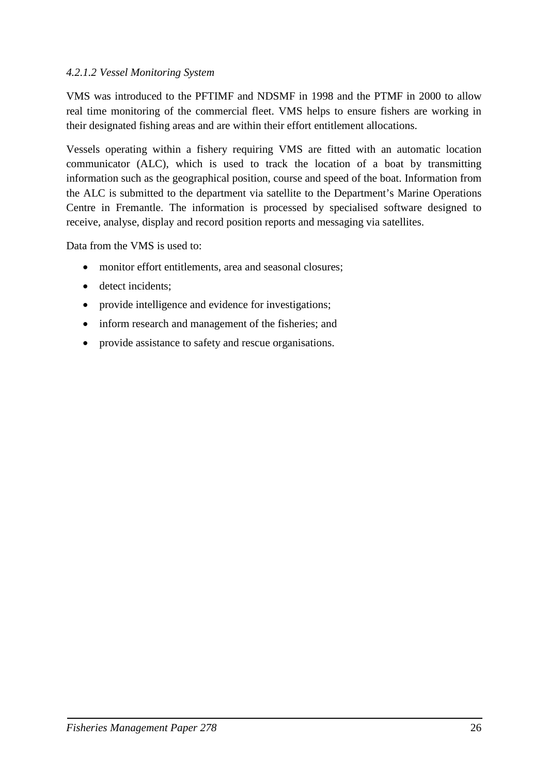#### <span id="page-29-0"></span>*4.2.1.2 Vessel Monitoring System*

VMS was introduced to the PFTIMF and NDSMF in 1998 and the PTMF in 2000 to allow real time monitoring of the commercial fleet. VMS helps to ensure fishers are working in their designated fishing areas and are within their effort entitlement allocations.

Vessels operating within a fishery requiring VMS are fitted with an automatic location communicator (ALC), which is used to track the location of a boat by transmitting information such as the geographical position, course and speed of the boat. Information from the ALC is submitted to the department via satellite to the Department's Marine Operations Centre in Fremantle. The information is processed by specialised software designed to receive, analyse, display and record position reports and messaging via satellites.

Data from the VMS is used to:

- monitor effort entitlements, area and seasonal closures;
- detect incidents;
- provide intelligence and evidence for investigations;
- inform research and management of the fisheries; and
- provide assistance to safety and rescue organisations.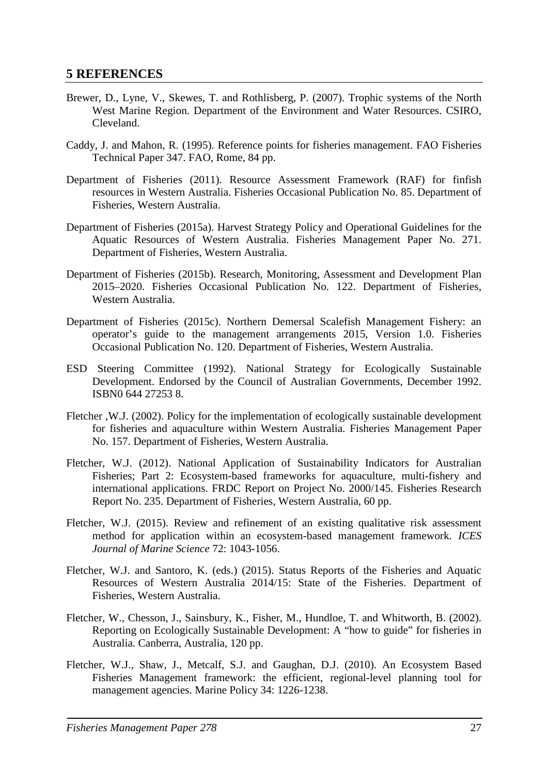## <span id="page-30-0"></span>**5 REFERENCES**

- Brewer, D., Lyne, V., Skewes, T. and Rothlisberg, P. (2007). Trophic systems of the North West Marine Region. Department of the Environment and Water Resources. CSIRO, Cleveland.
- Caddy, J. and Mahon, R. (1995). Reference points for fisheries management. FAO Fisheries Technical Paper 347. FAO, Rome, 84 pp.
- Department of Fisheries (2011). Resource Assessment Framework (RAF) for finfish resources in Western Australia. Fisheries Occasional Publication No. 85. Department of Fisheries, Western Australia.
- Department of Fisheries (2015a). Harvest Strategy Policy and Operational Guidelines for the Aquatic Resources of Western Australia. Fisheries Management Paper No. 271. Department of Fisheries, Western Australia.
- Department of Fisheries (2015b). Research, Monitoring, Assessment and Development Plan 2015–2020. Fisheries Occasional Publication No. 122. Department of Fisheries, Western Australia.
- Department of Fisheries (2015c). Northern Demersal Scalefish Management Fishery: an operator's guide to the management arrangements 2015, Version 1.0. Fisheries Occasional Publication No. 120. Department of Fisheries, Western Australia.
- ESD Steering Committee (1992). National Strategy for Ecologically Sustainable Development. Endorsed by the Council of Australian Governments, December 1992. ISBN0 644 27253 8.
- Fletcher ,W.J. (2002). Policy for the implementation of ecologically sustainable development for fisheries and aquaculture within Western Australia. Fisheries Management Paper No. 157. Department of Fisheries, Western Australia.
- Fletcher, W.J. (2012). National Application of Sustainability Indicators for Australian Fisheries; Part 2: Ecosystem-based frameworks for aquaculture, multi-fishery and international applications. FRDC Report on Project No. 2000/145. Fisheries Research Report No. 235. Department of Fisheries, Western Australia, 60 pp.
- Fletcher, W.J. (2015). Review and refinement of an existing qualitative risk assessment method for application within an ecosystem-based management framework. *ICES Journal of Marine Science* 72: 1043-1056.
- Fletcher, W.J. and Santoro, K. (eds.) (2015). Status Reports of the Fisheries and Aquatic Resources of Western Australia 2014/15: State of the Fisheries. Department of Fisheries, Western Australia.
- Fletcher, W., Chesson, J., Sainsbury, K., Fisher, M., Hundloe, T. and Whitworth, B. (2002). Reporting on Ecologically Sustainable Development: A "how to guide" for fisheries in Australia. Canberra, Australia, 120 pp.
- Fletcher, W.J., Shaw, J., Metcalf, S.J. and Gaughan, D.J. (2010). An Ecosystem Based Fisheries Management framework: the efficient, regional-level planning tool for management agencies. Marine Policy 34: 1226-1238.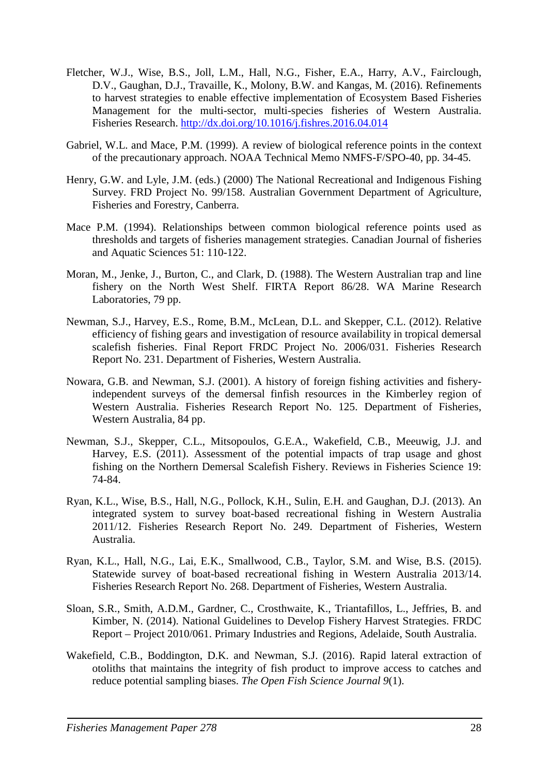- Fletcher, W.J., Wise, B.S., Joll, L.M., Hall, N.G., Fisher, E.A., Harry, A.V., Fairclough, D.V., Gaughan, D.J., Travaille, K., Molony, B.W. and Kangas, M. (2016). Refinements to harvest strategies to enable effective implementation of Ecosystem Based Fisheries Management for the multi-sector, multi-species fisheries of Western Australia. Fisheries Research.<http://dx.doi.org/10.1016/j.fishres.2016.04.014>
- Gabriel, W.L. and Mace, P.M. (1999). A review of biological reference points in the context of the precautionary approach. NOAA Technical Memo NMFS-F/SPO-40, pp. 34-45.
- Henry, G.W. and Lyle, J.M. (eds.) (2000) The National Recreational and Indigenous Fishing Survey. FRD Project No. 99/158. Australian Government Department of Agriculture, Fisheries and Forestry, Canberra.
- Mace P.M. (1994). Relationships between common biological reference points used as thresholds and targets of fisheries management strategies. Canadian Journal of fisheries and Aquatic Sciences 51: 110-122.
- Moran, M., Jenke, J., Burton, C., and Clark, D. (1988). The Western Australian trap and line fishery on the North West Shelf. FIRTA Report 86/28. WA Marine Research Laboratories, 79 pp.
- Newman, S.J., Harvey, E.S., Rome, B.M., McLean, D.L. and Skepper, C.L. (2012). Relative efficiency of fishing gears and investigation of resource availability in tropical demersal scalefish fisheries. Final Report FRDC Project No. 2006/031. Fisheries Research Report No. 231. Department of Fisheries, Western Australia.
- Nowara, G.B. and Newman, S.J. (2001). A history of foreign fishing activities and fisheryindependent surveys of the demersal finfish resources in the Kimberley region of Western Australia. Fisheries Research Report No. 125. Department of Fisheries, Western Australia, 84 pp.
- Newman, S.J., Skepper, C.L., Mitsopoulos, G.E.A., Wakefield, C.B., Meeuwig, J.J. and Harvey, E.S. (2011). Assessment of the potential impacts of trap usage and ghost fishing on the Northern Demersal Scalefish Fishery. Reviews in Fisheries Science 19: 74-84.
- Ryan, K.L., Wise, B.S., Hall, N.G., Pollock, K.H., Sulin, E.H. and Gaughan, D.J. (2013). An integrated system to survey boat-based recreational fishing in Western Australia 2011/12. Fisheries Research Report No. 249. Department of Fisheries, Western Australia.
- Ryan, K.L., Hall, N.G., Lai, E.K., Smallwood, C.B., Taylor, S.M. and Wise, B.S. (2015). Statewide survey of boat-based recreational fishing in Western Australia 2013/14. Fisheries Research Report No. 268. Department of Fisheries, Western Australia.
- Sloan, S.R., Smith, A.D.M., Gardner, C., Crosthwaite, K., Triantafillos, L., Jeffries, B. and Kimber, N. (2014). National Guidelines to Develop Fishery Harvest Strategies. FRDC Report – Project 2010/061. Primary Industries and Regions, Adelaide, South Australia.
- Wakefield, C.B., Boddington, D.K. and Newman, S.J. (2016). Rapid lateral extraction of otoliths that maintains the integrity of fish product to improve access to catches and reduce potential sampling biases. *The Open Fish Science Journal 9*(1).